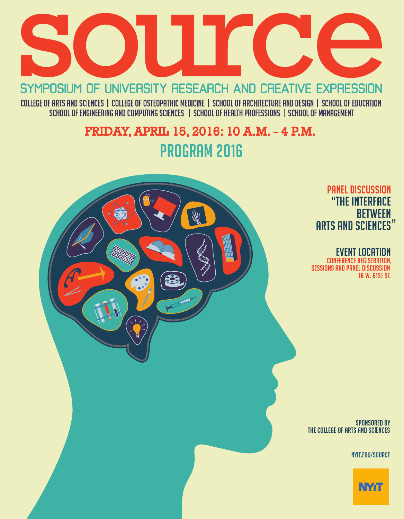

SYMPOSIUM OF UNIVERSITY RESEARCH AND CREATIVE EXPRESSION

COLLEGE OF ARTS AND SCIENCES | COLLEGE OF OSTEOPATHIC MEDICINE | SCHOOL OF ARCHITECTURE AND DESIGN | SCHOOL OF EDUCATION<br>SCHOOL OF ENGINEERING AND COMPUTING SCIENCES | SCHOOL OF HEALTH PROFESSIONS | SCHOOL OF MANAGEMENT

# FRIDAY, APRIL 15, 2016: 10 A.M. - 4 P.M. **PROGRAM 2016**

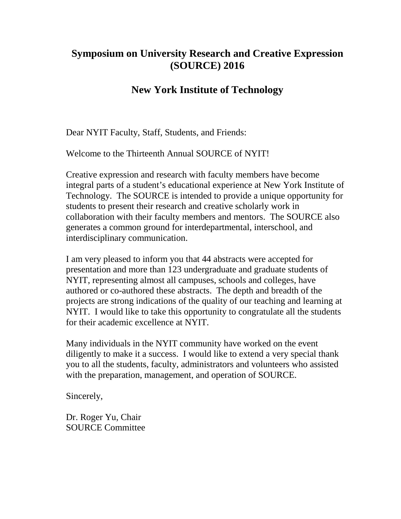# **Symposium on University Research and Creative Expression (SOURCE) 2016**

# **New York Institute of Technology**

Dear NYIT Faculty, Staff, Students, and Friends:

Welcome to the Thirteenth Annual SOURCE of NYIT!

Creative expression and research with faculty members have become integral parts of a student's educational experience at New York Institute of Technology. The SOURCE is intended to provide a unique opportunity for students to present their research and creative scholarly work in collaboration with their faculty members and mentors. The SOURCE also generates a common ground for interdepartmental, interschool, and interdisciplinary communication.

I am very pleased to inform you that 44 abstracts were accepted for presentation and more than 123 undergraduate and graduate students of NYIT, representing almost all campuses, schools and colleges, have authored or co-authored these abstracts. The depth and breadth of the projects are strong indications of the quality of our teaching and learning at NYIT. I would like to take this opportunity to congratulate all the students for their academic excellence at NYIT.

Many individuals in the NYIT community have worked on the event diligently to make it a success. I would like to extend a very special thank you to all the students, faculty, administrators and volunteers who assisted with the preparation, management, and operation of SOURCE.

Sincerely,

Dr. Roger Yu, Chair SOURCE Committee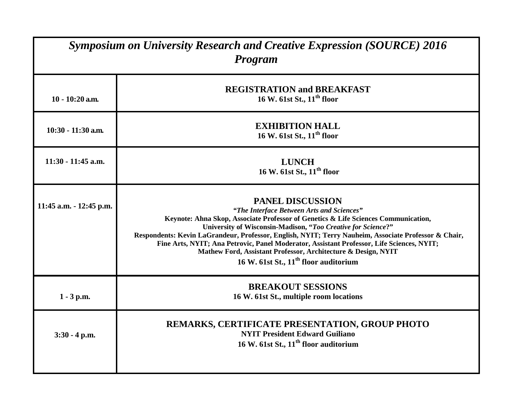| <b>Symposium on University Research and Creative Expression (SOURCE) 2016</b><br>Program |                                                                                                                                                                                                                                                                                                                                                                                                                                                                                                                                                       |
|------------------------------------------------------------------------------------------|-------------------------------------------------------------------------------------------------------------------------------------------------------------------------------------------------------------------------------------------------------------------------------------------------------------------------------------------------------------------------------------------------------------------------------------------------------------------------------------------------------------------------------------------------------|
| $10 - 10:20$ a.m.                                                                        | <b>REGISTRATION and BREAKFAST</b><br>16 W. 61st St., 11 <sup>th</sup> floor                                                                                                                                                                                                                                                                                                                                                                                                                                                                           |
| 10:30 - 11:30 a.m.                                                                       | <b>EXHIBITION HALL</b><br>16 W. 61st St., 11 <sup>th</sup> floor                                                                                                                                                                                                                                                                                                                                                                                                                                                                                      |
| $11:30 - 11:45$ a.m.                                                                     | <b>LUNCH</b><br>16 W. 61st St., 11 <sup>th</sup> floor                                                                                                                                                                                                                                                                                                                                                                                                                                                                                                |
| 11:45 a.m. - 12:45 p.m.                                                                  | <b>PANEL DISCUSSION</b><br>"The Interface Between Arts and Sciences"<br>Keynote: Ahna Skop, Associate Professor of Genetics & Life Sciences Communication,<br>University of Wisconsin-Madison, "Too Creative for Science?"<br>Respondents: Kevin LaGrandeur, Professor, English, NYIT; Terry Nauheim, Associate Professor & Chair,<br>Fine Arts, NYIT; Ana Petrovic, Panel Moderator, Assistant Professor, Life Sciences, NYIT;<br>Mathew Ford, Assistant Professor, Architecture & Design, NYIT<br>16 W. 61st St., 11 <sup>th</sup> floor auditorium |
| $1 - 3$ p.m.                                                                             | <b>BREAKOUT SESSIONS</b><br>16 W. 61st St., multiple room locations                                                                                                                                                                                                                                                                                                                                                                                                                                                                                   |
| $3:30 - 4$ p.m.                                                                          | REMARKS, CERTIFICATE PRESENTATION, GROUP PHOTO<br><b>NYIT President Edward Guiliano</b><br>16 W. 61st St., 11 <sup>th</sup> floor auditorium                                                                                                                                                                                                                                                                                                                                                                                                          |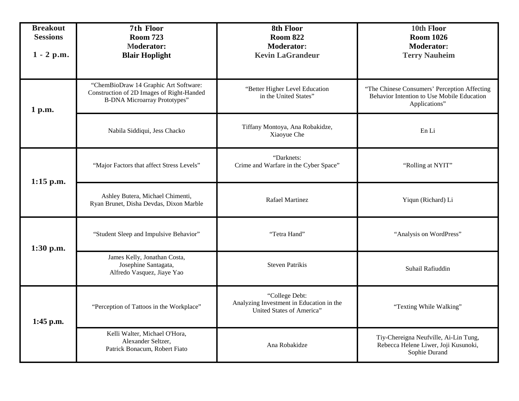| <b>Breakout</b><br><b>Sessions</b><br>$1 - 2 p.m.$ | 7th Floor<br><b>Room 723</b><br><b>Moderator:</b><br><b>Blair Hoplight</b>                                                | 8th Floor<br><b>Room 822</b><br><b>Moderator:</b><br><b>Kevin LaGrandeur</b>            | 10th Floor<br><b>Room 1026</b><br><b>Moderator:</b><br><b>Terry Nauheim</b>                                 |
|----------------------------------------------------|---------------------------------------------------------------------------------------------------------------------------|-----------------------------------------------------------------------------------------|-------------------------------------------------------------------------------------------------------------|
| 1 p.m.                                             | "ChemBioDraw 14 Graphic Art Software:<br>Construction of 2D Images of Right-Handed<br><b>B-DNA Microarray Prototypes"</b> | "Better Higher Level Education<br>in the United States"                                 | "The Chinese Consumers' Perception Affecting<br>Behavior Intention to Use Mobile Education<br>Applications" |
|                                                    | Nabila Siddiqui, Jess Chacko                                                                                              | Tiffany Montoya, Ana Robakidze,<br>Xiaoyue Che                                          | En Li                                                                                                       |
| $1:15$ p.m.                                        | "Major Factors that affect Stress Levels"                                                                                 | "Darknets:<br>Crime and Warfare in the Cyber Space"                                     | "Rolling at NYIT"                                                                                           |
|                                                    | Ashley Butera, Michael Chimenti,<br>Ryan Brunet, Disha Devdas, Dixon Marble                                               | <b>Rafael Martinez</b>                                                                  | Yiqun (Richard) Li                                                                                          |
| 1:30 p.m.                                          | "Student Sleep and Impulsive Behavior"                                                                                    | "Tetra Hand"                                                                            | "Analysis on WordPress"                                                                                     |
|                                                    | James Kelly, Jonathan Costa,<br>Josephine Santagata,<br>Alfredo Vasquez, Jiaye Yao                                        | <b>Steven Patrikis</b>                                                                  | Suhail Rafiuddin                                                                                            |
| 1:45 p.m.                                          | "Perception of Tattoos in the Workplace"                                                                                  | "College Debt:<br>Analyzing Investment in Education in the<br>United States of America" | "Texting While Walking"                                                                                     |
|                                                    | Kelli Walter, Michael O'Hora,<br>Alexander Seltzer,<br>Patrick Bonacum, Robert Fiato                                      | Ana Robakidze                                                                           | Tiy-Chereigna Neufville, Ai-Lin Tung,<br>Rebecca Helene Liwer, Joji Kusunoki,<br>Sophie Durand              |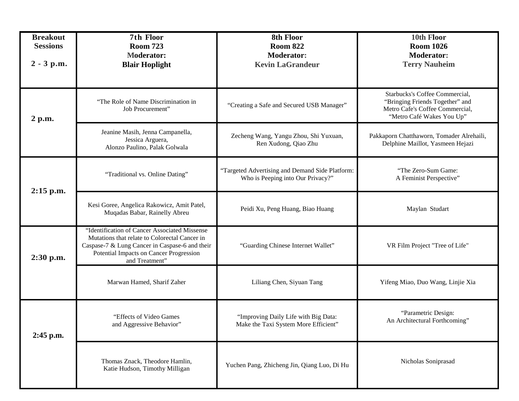| <b>Breakout</b><br><b>Sessions</b><br>$2 - 3 p.m.$ | 7th Floor<br><b>Room 723</b><br><b>Moderator:</b><br><b>Blair Hoplight</b>                                                                                                                                    | 8th Floor<br><b>Room 822</b><br><b>Moderator:</b><br><b>Kevin LaGrandeur</b>         | 10th Floor<br><b>Room 1026</b><br><b>Moderator:</b><br><b>Terry Nauheim</b>                                                       |
|----------------------------------------------------|---------------------------------------------------------------------------------------------------------------------------------------------------------------------------------------------------------------|--------------------------------------------------------------------------------------|-----------------------------------------------------------------------------------------------------------------------------------|
| 2 p.m.                                             | "The Role of Name Discrimination in<br>Job Procurement"                                                                                                                                                       | "Creating a Safe and Secured USB Manager"                                            | Starbucks's Coffee Commercial,<br>"Bringing Friends Together" and<br>Metro Cafe's Coffee Commercial,<br>"Metro Café Wakes You Up" |
|                                                    | Jeanine Masih, Jenna Campanella,<br>Jessica Arguera,<br>Alonzo Paulino, Palak Golwala                                                                                                                         | Zecheng Wang, Yangu Zhou, Shi Yuxuan,<br>Ren Xudong, Qiao Zhu                        | Pakkaporn Chatthaworn, Tomader Alrehaili,<br>Delphine Maillot, Yasmeen Hejazi                                                     |
| 2:15 p.m.                                          | "Traditional vs. Online Dating"                                                                                                                                                                               | "Targeted Advertising and Demand Side Platform:<br>Who is Peeping into Our Privacy?" | "The Zero-Sum Game:<br>A Feminist Perspective"                                                                                    |
|                                                    | Kesi Goree, Angelica Rakowicz, Amit Patel,<br>Muqadas Babar, Rainelly Abreu                                                                                                                                   | Peidi Xu, Peng Huang, Biao Huang                                                     | Maylan Studart                                                                                                                    |
| 2:30 p.m.                                          | "Identification of Cancer Associated Missense<br>Mutations that relate to Colorectal Cancer in<br>Caspase-7 & Lung Cancer in Caspase-6 and their<br>Potential Impacts on Cancer Progression<br>and Treatment" | "Guarding Chinese Internet Wallet"                                                   | VR Film Project "Tree of Life"                                                                                                    |
|                                                    | Marwan Hamed, Sharif Zaher                                                                                                                                                                                    | Liliang Chen, Siyuan Tang                                                            | Yifeng Miao, Duo Wang, Linjie Xia                                                                                                 |
| $2:45$ p.m.                                        | "Effects of Video Games<br>and Aggressive Behavior"                                                                                                                                                           | "Improving Daily Life with Big Data:<br>Make the Taxi System More Efficient"         | "Parametric Design:<br>An Architectural Forthcoming"                                                                              |
|                                                    | Thomas Znack, Theodore Hamlin,<br>Katie Hudson, Timothy Milligan                                                                                                                                              | Yuchen Pang, Zhicheng Jin, Qiang Luo, Di Hu                                          | Nicholas Soniprasad                                                                                                               |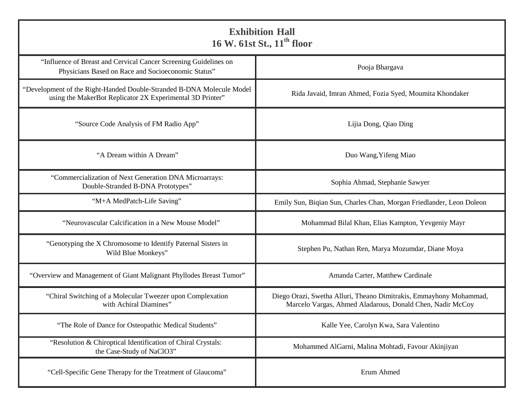| <b>Exhibition Hall</b><br>16 W. 61st St., 11 <sup>th</sup> floor                                                                   |                                                                                                                                 |  |
|------------------------------------------------------------------------------------------------------------------------------------|---------------------------------------------------------------------------------------------------------------------------------|--|
| "Influence of Breast and Cervical Cancer Screening Guidelines on<br>Physicians Based on Race and Socioeconomic Status"             | Pooja Bhargava                                                                                                                  |  |
| "Development of the Right-Handed Double-Stranded B-DNA Molecule Model<br>using the MakerBot Replicator 2X Experimental 3D Printer" | Rida Javaid, Imran Ahmed, Fozia Syed, Moumita Khondaker                                                                         |  |
| "Source Code Analysis of FM Radio App"                                                                                             | Lijia Dong, Qiao Ding                                                                                                           |  |
| "A Dream within A Dream"                                                                                                           | Duo Wang, Yifeng Miao                                                                                                           |  |
| "Commercialization of Next Generation DNA Microarrays:<br>Double-Stranded B-DNA Prototypes"                                        | Sophia Ahmad, Stephanie Sawyer                                                                                                  |  |
| "M+A MedPatch-Life Saving"                                                                                                         | Emily Sun, Biqian Sun, Charles Chan, Morgan Friedlander, Leon Doleon                                                            |  |
| "Neurovascular Calcification in a New Mouse Model"                                                                                 | Mohammad Bilal Khan, Elias Kampton, Yevgeniy Mayr                                                                               |  |
| "Genotyping the X Chromosome to Identify Paternal Sisters in<br>Wild Blue Monkeys"                                                 | Stephen Pu, Nathan Ren, Marya Mozumdar, Diane Moya                                                                              |  |
| "Overview and Management of Giant Malignant Phyllodes Breast Tumor"                                                                | Amanda Carter, Matthew Cardinale                                                                                                |  |
| "Chiral Switching of a Molecular Tweezer upon Complexation<br>with Achiral Diamines"                                               | Diego Orazi, Swetha Alluri, Theano Dimitrakis, Emmayhony Mohammad,<br>Marcelo Vargas, Ahmed Aladarous, Donald Chen, Nadir McCoy |  |
| "The Role of Dance for Osteopathic Medical Students"                                                                               | Kalle Yee, Carolyn Kwa, Sara Valentino                                                                                          |  |
| "Resolution & Chiroptical Identification of Chiral Crystals:<br>the Case-Study of NaClO3"                                          | Mohammed AlGarni, Malina Mohtadi, Favour Akinjiyan                                                                              |  |
| "Cell-Specific Gene Therapy for the Treatment of Glaucoma"                                                                         | Erum Ahmed                                                                                                                      |  |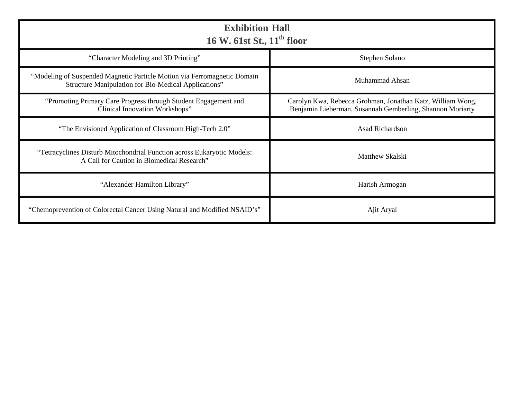| <b>Exhibition Hall</b><br>16 W. 61st St., 11 <sup>th</sup> floor                                                                 |                                                                                                                         |  |
|----------------------------------------------------------------------------------------------------------------------------------|-------------------------------------------------------------------------------------------------------------------------|--|
| "Character Modeling and 3D Printing"                                                                                             | Stephen Solano                                                                                                          |  |
| "Modeling of Suspended Magnetic Particle Motion via Ferromagnetic Domain<br>Structure Manipulation for Bio-Medical Applications" | Muhammad Ahsan                                                                                                          |  |
| "Promoting Primary Care Progress through Student Engagement and<br>Clinical Innovation Workshops"                                | Carolyn Kwa, Rebecca Grohman, Jonathan Katz, William Wong,<br>Benjamin Lieberman, Susannah Gemberling, Shannon Moriarty |  |
| "The Envisioned Application of Classroom High-Tech 2.0"                                                                          | Asad Richardson                                                                                                         |  |
| "Tetracyclines Disturb Mitochondrial Function across Eukaryotic Models:<br>A Call for Caution in Biomedical Research"            | Matthew Skalski                                                                                                         |  |
| "Alexander Hamilton Library"                                                                                                     | Harish Armogan                                                                                                          |  |
| "Chemoprevention of Colorectal Cancer Using Natural and Modified NSAID's"                                                        | Ajit Aryal                                                                                                              |  |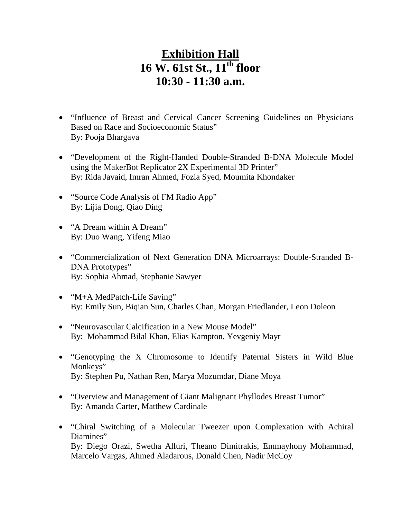# **Exhibition Hall 16 W. 61st St., 11th floor 10:30 - 11:30 a.m.**

- "Influence of Breast and Cervical Cancer Screening Guidelines on Physicians Based on Race and Socioeconomic Status" By: Pooja Bhargava
- "Development of the Right-Handed Double-Stranded B-DNA Molecule Model using the MakerBot Replicator 2X Experimental 3D Printer" By: Rida Javaid, Imran Ahmed, Fozia Syed, Moumita Khondaker
- "Source Code Analysis of FM Radio App" By: Lijia Dong, Qiao Ding
- "A Dream within A Dream" By: Duo Wang, Yifeng Miao
- "Commercialization of Next Generation DNA Microarrays: Double-Stranded B-DNA Prototypes" By: Sophia Ahmad, Stephanie Sawyer
- "M+A MedPatch-Life Saving" By: Emily Sun, Biqian Sun, Charles Chan, Morgan Friedlander, Leon Doleon
- "Neurovascular Calcification in a New Mouse Model" By: Mohammad Bilal Khan, Elias Kampton, Yevgeniy Mayr
- "Genotyping the X Chromosome to Identify Paternal Sisters in Wild Blue Monkeys" By: Stephen Pu, Nathan Ren, Marya Mozumdar, Diane Moya
- "Overview and Management of Giant Malignant Phyllodes Breast Tumor" By: Amanda Carter, Matthew Cardinale
- "Chiral Switching of a Molecular Tweezer upon Complexation with Achiral Diamines" By: Diego Orazi, Swetha Alluri, Theano Dimitrakis, Emmayhony Mohammad, Marcelo Vargas, Ahmed Aladarous, Donald Chen, Nadir McCoy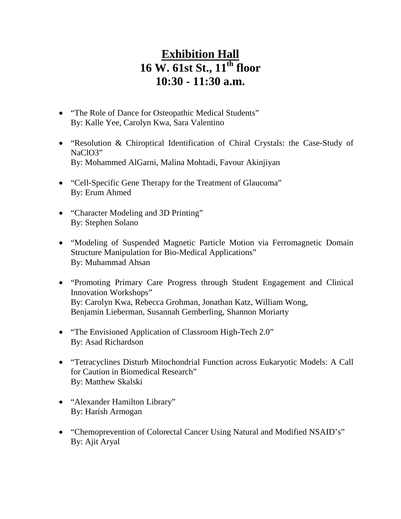# **Exhibition Hall 16 W. 61st St., 11th floor 10:30 - 11:30 a.m.**

- "The Role of Dance for Osteopathic Medical Students" By: Kalle Yee, Carolyn Kwa, Sara Valentino
- "Resolution & Chiroptical Identification of Chiral Crystals: the Case-Study of NaClO3" By: Mohammed AlGarni, Malina Mohtadi, Favour Akinjiyan
- "Cell-Specific Gene Therapy for the Treatment of Glaucoma" By: Erum Ahmed
- "Character Modeling and 3D Printing" By: Stephen Solano
- "Modeling of Suspended Magnetic Particle Motion via Ferromagnetic Domain Structure Manipulation for Bio-Medical Applications" By: Muhammad Ahsan
- "Promoting Primary Care Progress through Student Engagement and Clinical Innovation Workshops" By: Carolyn Kwa, Rebecca Grohman, Jonathan Katz, William Wong, Benjamin Lieberman, Susannah Gemberling, Shannon Moriarty
- "The Envisioned Application of Classroom High-Tech 2.0" By: Asad Richardson
- "Tetracyclines Disturb Mitochondrial Function across Eukaryotic Models: A Call for Caution in Biomedical Research" By: Matthew Skalski
- "Alexander Hamilton Library" By: Harish Armogan
- "Chemoprevention of Colorectal Cancer Using Natural and Modified NSAID's" By: Ajit Aryal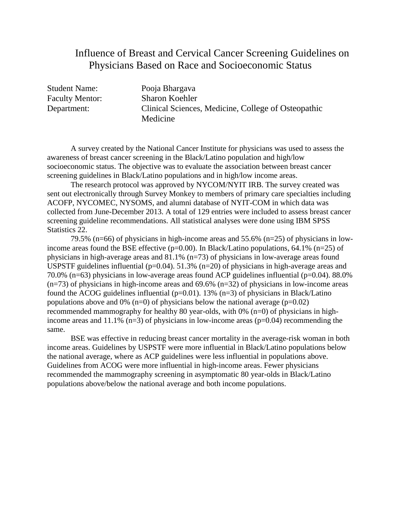# Influence of Breast and Cervical Cancer Screening Guidelines on Physicians Based on Race and Socioeconomic Status

Student Name: Pooja Bhargava Faculty Mentor: Sharon Koehler Department: Clinical Sciences, Medicine, College of Osteopathic Medicine

A survey created by the National Cancer Institute for physicians was used to assess the awareness of breast cancer screening in the Black/Latino population and high/low socioeconomic status. The objective was to evaluate the association between breast cancer screening guidelines in Black/Latino populations and in high/low income areas.

The research protocol was approved by NYCOM/NYIT IRB. The survey created was sent out electronically through Survey Monkey to members of primary care specialties including ACOFP, NYCOMEC, NYSOMS, and alumni database of NYIT-COM in which data was collected from June-December 2013. A total of 129 entries were included to assess breast cancer screening guideline recommendations. All statistical analyses were done using IBM SPSS Statistics 22.

79.5% (n=66) of physicians in high-income areas and 55.6% (n=25) of physicians in lowincome areas found the BSE effective ( $p=0.00$ ). In Black/Latino populations, 64.1% ( $n=25$ ) of physicians in high-average areas and 81.1% (n=73) of physicians in low-average areas found USPSTF guidelines influential ( $p=0.04$ ). 51.3% ( $n=20$ ) of physicians in high-average areas and 70.0% (n=63) physicians in low-average areas found ACP guidelines influential (p=0.04). 88.0%  $(n=73)$  of physicians in high-income areas and 69.6%  $(n=32)$  of physicians in low-income areas found the ACOG guidelines influential ( $p=0.01$ ). 13% ( $n=3$ ) of physicians in Black/Latino populations above and 0% (n=0) of physicians below the national average ( $p=0.02$ ) recommended mammography for healthy 80 year-olds, with 0% (n=0) of physicians in highincome areas and 11.1% ( $n=3$ ) of physicians in low-income areas ( $p=0.04$ ) recommending the same.

BSE was effective in reducing breast cancer mortality in the average-risk woman in both income areas. Guidelines by USPSTF were more influential in Black/Latino populations below the national average, where as ACP guidelines were less influential in populations above. Guidelines from ACOG were more influential in high-income areas. Fewer physicians recommended the mammography screening in asymptomatic 80 year-olds in Black/Latino populations above/below the national average and both income populations.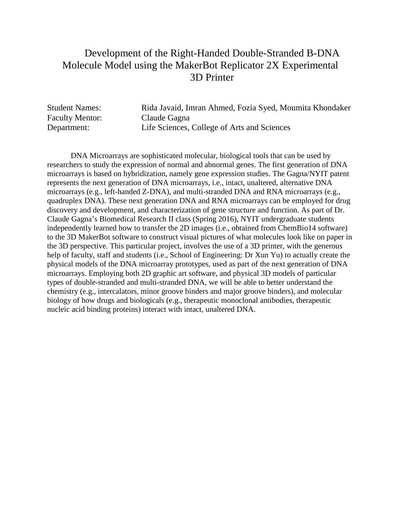# Development of the Right-Handed Double-Stranded B-DNA Molecule Model using the MakerBot Replicator 2X Experimental 3D Printer

| <b>Student Names:</b>  | Rida Javaid, Imran Ahmed, Fozia Syed, Moumita Khondaker |
|------------------------|---------------------------------------------------------|
| <b>Faculty Mentor:</b> | Claude Gagna                                            |
| Department:            | Life Sciences, College of Arts and Sciences             |

DNA Microarrays are sophisticated molecular, biological tools that can be used by researchers to study the expression of normal and abnormal genes. The first generation of DNA microarrays is based on hybridization, namely gene expression studies. The Gagna/NYIT patent represents the next generation of DNA microarrays, i.e., intact, unaltered, alternative DNA microarrays (e.g., left-handed Z-DNA), and multi-stranded DNA and RNA microarrays (e.g., quadruplex DNA). These next generation DNA and RNA microarrays can be employed for drug discovery and development, and characterization of gene structure and function. As part of Dr. Claude Gagna's Biomedical Research II class (Spring 2016), NYIT undergraduate students independently learned how to transfer the 2D images (i.e., obtained from ChemBio14 software) to the 3D MakerBot software to construct visual pictures of what molecules look like on paper in the 3D perspective. This particular project, involves the use of a 3D printer, with the generous help of faculty, staff and students (i.e., School of Engineering: Dr Xun Yu) to actually create the physical models of the DNA microarray prototypes, used as part of the next generation of DNA microarrays. Employing both 2D graphic art software, and physical 3D models of particular types of double-stranded and multi-stranded DNA, we will be able to better understand the chemistry (e.g., intercalators, minor groove binders and major groove binders), and molecular biology of how drugs and biologicals (e.g., therapeutic monoclonal antibodies, therapeutic nucleic acid binding proteins) interact with intact, unaltered DNA.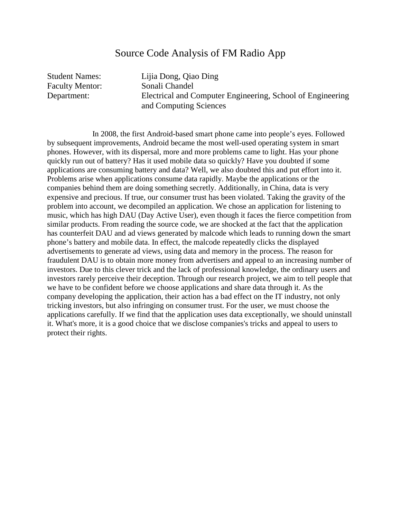#### Source Code Analysis of FM Radio App

Student Names: Lijia Dong, Qiao Ding Faculty Mentor: Sonali Chandel Department: Electrical and Computer Engineering, School of Engineering and Computing Sciences

 In 2008, the first Android-based smart phone came into people's eyes. Followed by subsequent improvements, Android became the most well-used operating system in smart phones. However, with its dispersal, more and more problems came to light. Has your phone quickly run out of battery? Has it used mobile data so quickly? Have you doubted if some applications are consuming battery and data? Well, we also doubted this and put effort into it. Problems arise when applications consume data rapidly. Maybe the applications or the companies behind them are doing something secretly. Additionally, in China, data is very expensive and precious. If true, our consumer trust has been violated. Taking the gravity of the problem into account, we decompiled an application. We chose an application for listening to music, which has high DAU (Day Active User), even though it faces the fierce competition from similar products. From reading the source code, we are shocked at the fact that the application has counterfeit DAU and ad views generated by malcode which leads to running down the smart phone's battery and mobile data. In effect, the malcode repeatedly clicks the displayed advertisements to generate ad views, using data and memory in the process. The reason for fraudulent DAU is to obtain more money from advertisers and appeal to an increasing number of investors. Due to this clever trick and the lack of professional knowledge, the ordinary users and investors rarely perceive their deception. Through our research project, we aim to tell people that we have to be confident before we choose applications and share data through it. As the company developing the application, their action has a bad effect on the IT industry, not only tricking investors, but also infringing on consumer trust. For the user, we must choose the applications carefully. If we find that the application uses data exceptionally, we should uninstall it. What's more, it is a good choice that we disclose companies's tricks and appeal to users to protect their rights.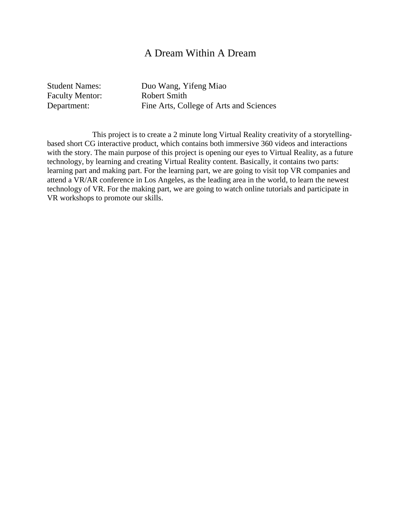#### A Dream Within A Dream

Faculty Mentor: Robert Smith

Student Names: Duo Wang, Yifeng Miao Department: Fine Arts, College of Arts and Sciences

 This project is to create a 2 minute long Virtual Reality creativity of a storytellingbased short CG interactive product, which contains both immersive 360 videos and interactions with the story. The main purpose of this project is opening our eyes to Virtual Reality, as a future technology, by learning and creating Virtual Reality content. Basically, it contains two parts: learning part and making part. For the learning part, we are going to visit top VR companies and attend a VR/AR conference in Los Angeles, as the leading area in the world, to learn the newest technology of VR. For the making part, we are going to watch online tutorials and participate in VR workshops to promote our skills.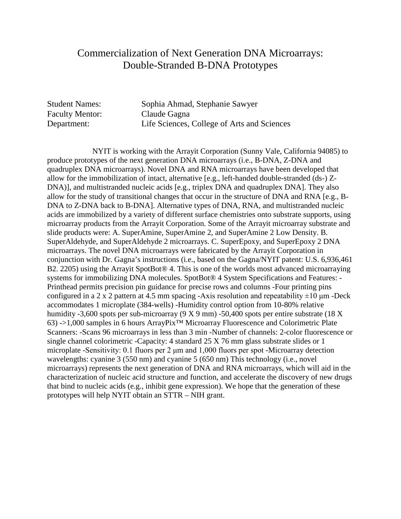# Commercialization of Next Generation DNA Microarrays: Double-Stranded B-DNA Prototypes

Faculty Mentor: Claude Gagna

Student Names: Sophia Ahmad, Stephanie Sawyer Department: Life Sciences, College of Arts and Sciences

 NYIT is working with the Arrayit Corporation (Sunny Vale, California 94085) to produce prototypes of the next generation DNA microarrays (i.e., B-DNA, Z-DNA and quadruplex DNA microarrays). Novel DNA and RNA microarrays have been developed that allow for the immobilization of intact, alternative [e.g., left-handed double-stranded (ds-) Z-DNA)], and multistranded nucleic acids [e.g., triplex DNA and quadruplex DNA]. They also allow for the study of transitional changes that occur in the structure of DNA and RNA [e.g., B-DNA to Z-DNA back to B-DNA]. Alternative types of DNA, RNA, and multistranded nucleic acids are immobilized by a variety of different surface chemistries onto substrate supports, using microarray products from the Arrayit Corporation. Some of the Arrayit microarray substrate and slide products were: A. SuperAmine, SuperAmine 2, and SuperAmine 2 Low Density. B. SuperAldehyde, and SuperAldehyde 2 microarrays. C. SuperEpoxy, and SuperEpoxy 2 DNA microarrays. The novel DNA microarrays were fabricated by the Arrayit Corporation in conjunction with Dr. Gagna's instructions (i.e., based on the Gagna/NYIT patent: U.S. 6,936,461 B2. 2205) using the Arrayit SpotBot® 4. This is one of the worlds most advanced microarraying systems for immobilizing DNA molecules. SpotBot® 4 System Specifications and Features: - Printhead permits precision pin guidance for precise rows and columns -Four printing pins configured in a 2 x 2 pattern at 4.5 mm spacing -Axis resolution and repeatability  $\pm 10 \mu$ m -Deck accommodates 1 microplate (384-wells) -Humidity control option from 10-80% relative humidity -3,600 spots per sub-microarray (9 X 9 mm) -50,400 spots per entire substrate (18 X 63) ->1,000 samples in 6 hours ArrayPix™ Microarray Fluorescence and Colorimetric Plate Scanners: -Scans 96 microarrays in less than 3 min -Number of channels: 2-color fluorescence or single channel colorimetric -Capacity: 4 standard 25 X 76 mm glass substrate slides or 1 microplate -Sensitivity: 0.1 fluors per 2 μm and 1,000 fluors per spot -Microarray detection wavelengths: cyanine 3 (550 nm) and cyanine 5 (650 nm) This technology (i.e., novel microarrays) represents the next generation of DNA and RNA microarrays, which will aid in the characterization of nucleic acid structure and function, and accelerate the discovery of new drugs that bind to nucleic acids (e.g., inhibit gene expression). We hope that the generation of these prototypes will help NYIT obtain an STTR – NIH grant.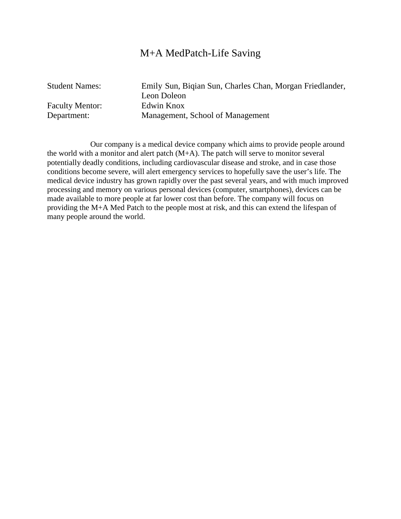#### M+A MedPatch-Life Saving

Faculty Mentor: Edwin Knox

Student Names: Emily Sun, Biqian Sun, Charles Chan, Morgan Friedlander, Leon Doleon Department: Management, School of Management

 Our company is a medical device company which aims to provide people around the world with a monitor and alert patch (M+A). The patch will serve to monitor several potentially deadly conditions, including cardiovascular disease and stroke, and in case those conditions become severe, will alert emergency services to hopefully save the user's life. The medical device industry has grown rapidly over the past several years, and with much improved processing and memory on various personal devices (computer, smartphones), devices can be made available to more people at far lower cost than before. The company will focus on providing the M+A Med Patch to the people most at risk, and this can extend the lifespan of many people around the world.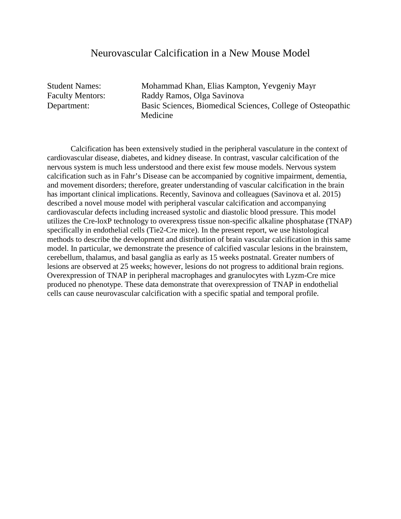#### Neurovascular Calcification in a New Mouse Model

Student Names: Mohammad Khan, Elias Kampton, Yevgeniy Mayr Faculty Mentors: Raddy Ramos, Olga Savinova Department: Basic Sciences, Biomedical Sciences, College of Osteopathic Medicine

 Calcification has been extensively studied in the peripheral vasculature in the context of cardiovascular disease, diabetes, and kidney disease. In contrast, vascular calcification of the nervous system is much less understood and there exist few mouse models. Nervous system calcification such as in Fahr's Disease can be accompanied by cognitive impairment, dementia, and movement disorders; therefore, greater understanding of vascular calcification in the brain has important clinical implications. Recently, Savinova and colleagues (Savinova et al. 2015) described a novel mouse model with peripheral vascular calcification and accompanying cardiovascular defects including increased systolic and diastolic blood pressure. This model utilizes the Cre-loxP technology to overexpress tissue non-specific alkaline phosphatase (TNAP) specifically in endothelial cells (Tie2-Cre mice). In the present report, we use histological methods to describe the development and distribution of brain vascular calcification in this same model. In particular, we demonstrate the presence of calcified vascular lesions in the brainstem, cerebellum, thalamus, and basal ganglia as early as 15 weeks postnatal. Greater numbers of lesions are observed at 25 weeks; however, lesions do not progress to additional brain regions. Overexpression of TNAP in peripheral macrophages and granulocytes with Lyzm-Cre mice produced no phenotype. These data demonstrate that overexpression of TNAP in endothelial cells can cause neurovascular calcification with a specific spatial and temporal profile.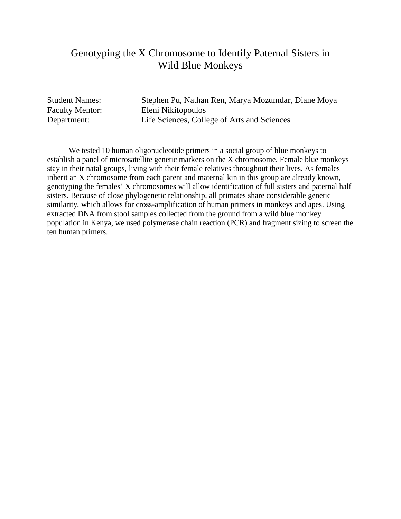# Genotyping the X Chromosome to Identify Paternal Sisters in Wild Blue Monkeys

Student Names: Stephen Pu, Nathan Ren, Marya Mozumdar, Diane Moya Faculty Mentor: Eleni Nikitopoulos Department: Life Sciences, College of Arts and Sciences

 We tested 10 human oligonucleotide primers in a social group of blue monkeys to establish a panel of microsatellite genetic markers on the X chromosome. Female blue monkeys stay in their natal groups, living with their female relatives throughout their lives. As females inherit an X chromosome from each parent and maternal kin in this group are already known, genotyping the females' X chromosomes will allow identification of full sisters and paternal half sisters. Because of close phylogenetic relationship, all primates share considerable genetic similarity, which allows for cross-amplification of human primers in monkeys and apes. Using extracted DNA from stool samples collected from the ground from a wild blue monkey population in Kenya, we used polymerase chain reaction (PCR) and fragment sizing to screen the ten human primers.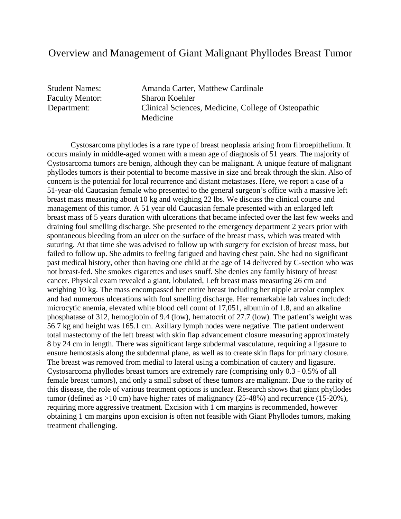#### Overview and Management of Giant Malignant Phyllodes Breast Tumor

Student Names: Amanda Carter, Matthew Cardinale Faculty Mentor: Sharon Koehler Department: Clinical Sciences, Medicine, College of Osteopathic Medicine

Cystosarcoma phyllodes is a rare type of breast neoplasia arising from fibroepithelium. It occurs mainly in middle-aged women with a mean age of diagnosis of 51 years. The majority of Cystosarcoma tumors are benign, although they can be malignant. A unique feature of malignant phyllodes tumors is their potential to become massive in size and break through the skin. Also of concern is the potential for local recurrence and distant metastases. Here, we report a case of a 51-year-old Caucasian female who presented to the general surgeon's office with a massive left breast mass measuring about 10 kg and weighing 22 lbs. We discuss the clinical course and management of this tumor. A 51 year old Caucasian female presented with an enlarged left breast mass of 5 years duration with ulcerations that became infected over the last few weeks and draining foul smelling discharge. She presented to the emergency department 2 years prior with spontaneous bleeding from an ulcer on the surface of the breast mass, which was treated with suturing. At that time she was advised to follow up with surgery for excision of breast mass, but failed to follow up. She admits to feeling fatigued and having chest pain. She had no significant past medical history, other than having one child at the age of 14 delivered by C-section who was not breast-fed. She smokes cigarettes and uses snuff. She denies any family history of breast cancer. Physical exam revealed a giant, lobulated, Left breast mass measuring 26 cm and weighing 10 kg. The mass encompassed her entire breast including her nipple areolar complex and had numerous ulcerations with foul smelling discharge. Her remarkable lab values included: microcytic anemia, elevated white blood cell count of 17,051, albumin of 1.8, and an alkaline phosphatase of 312, hemoglobin of 9.4 (low), hematocrit of 27.7 (low). The patient's weight was 56.7 kg and height was 165.1 cm. Axillary lymph nodes were negative. The patient underwent total mastectomy of the left breast with skin flap advancement closure measuring approximately 8 by 24 cm in length. There was significant large subdermal vasculature, requiring a ligasure to ensure hemostasis along the subdermal plane, as well as to create skin flaps for primary closure. The breast was removed from medial to lateral using a combination of cautery and ligasure. Cystosarcoma phyllodes breast tumors are extremely rare (comprising only 0.3 - 0.5% of all female breast tumors), and only a small subset of these tumors are malignant. Due to the rarity of this disease, the role of various treatment options is unclear. Research shows that giant phyllodes tumor (defined as >10 cm) have higher rates of malignancy (25-48%) and recurrence (15-20%), requiring more aggressive treatment. Excision with 1 cm margins is recommended, however obtaining 1 cm margins upon excision is often not feasible with Giant Phyllodes tumors, making treatment challenging.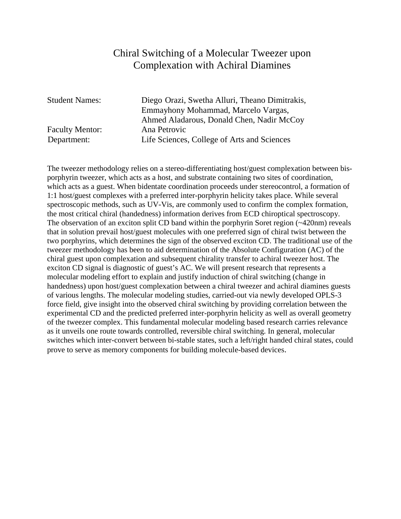# Chiral Switching of a Molecular Tweezer upon Complexation with Achiral Diamines

Faculty Mentor: Ana Petrovic

Student Names: Diego Orazi, Swetha Alluri, Theano Dimitrakis, Emmayhony Mohammad, Marcelo Vargas, Ahmed Aladarous, Donald Chen, Nadir McCoy Department: Life Sciences, College of Arts and Sciences

The tweezer methodology relies on a stereo-differentiating host/guest complexation between bisporphyrin tweezer, which acts as a host, and substrate containing two sites of coordination, which acts as a guest. When bidentate coordination proceeds under stereocontrol, a formation of 1:1 host/guest complexes with a preferred inter-porphyrin helicity takes place. While several spectroscopic methods, such as UV-Vis, are commonly used to confirm the complex formation, the most critical chiral (handedness) information derives from ECD chiroptical spectroscopy. The observation of an exciton split CD band within the porphyrin Soret region (~420nm) reveals that in solution prevail host/guest molecules with one preferred sign of chiral twist between the two porphyrins, which determines the sign of the observed exciton CD. The traditional use of the tweezer methodology has been to aid determination of the Absolute Configuration (AC) of the chiral guest upon complexation and subsequent chirality transfer to achiral tweezer host. The exciton CD signal is diagnostic of guest's AC. We will present research that represents a molecular modeling effort to explain and justify induction of chiral switching (change in handedness) upon host/guest complexation between a chiral tweezer and achiral diamines guests of various lengths. The molecular modeling studies, carried-out via newly developed OPLS-3 force field, give insight into the observed chiral switching by providing correlation between the experimental CD and the predicted preferred inter-porphyrin helicity as well as overall geometry of the tweezer complex. This fundamental molecular modeling based research carries relevance as it unveils one route towards controlled, reversible chiral switching. In general, molecular switches which inter-convert between bi-stable states, such a left/right handed chiral states, could prove to serve as memory components for building molecule-based devices.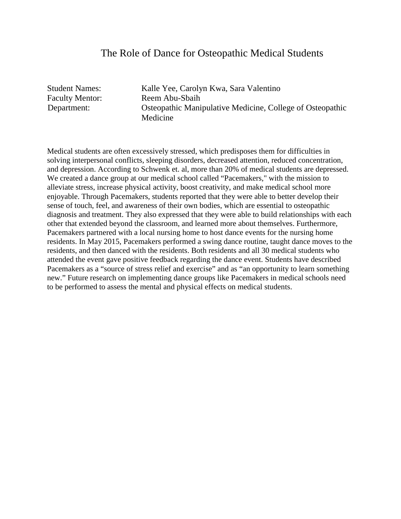#### The Role of Dance for Osteopathic Medical Students

Student Names: Kalle Yee, Carolyn Kwa, Sara Valentino Faculty Mentor: Reem Abu-Sbaih Department: Osteopathic Manipulative Medicine, College of Osteopathic Medicine

Medical students are often excessively stressed, which predisposes them for difficulties in solving interpersonal conflicts, sleeping disorders, decreased attention, reduced concentration, and depression. According to Schwenk et. al, more than 20% of medical students are depressed. We created a dance group at our medical school called "Pacemakers," with the mission to alleviate stress, increase physical activity, boost creativity, and make medical school more enjoyable. Through Pacemakers, students reported that they were able to better develop their sense of touch, feel, and awareness of their own bodies, which are essential to osteopathic diagnosis and treatment. They also expressed that they were able to build relationships with each other that extended beyond the classroom, and learned more about themselves. Furthermore, Pacemakers partnered with a local nursing home to host dance events for the nursing home residents. In May 2015, Pacemakers performed a swing dance routine, taught dance moves to the residents, and then danced with the residents. Both residents and all 30 medical students who attended the event gave positive feedback regarding the dance event. Students have described Pacemakers as a "source of stress relief and exercise" and as "an opportunity to learn something new." Future research on implementing dance groups like Pacemakers in medical schools need to be performed to assess the mental and physical effects on medical students.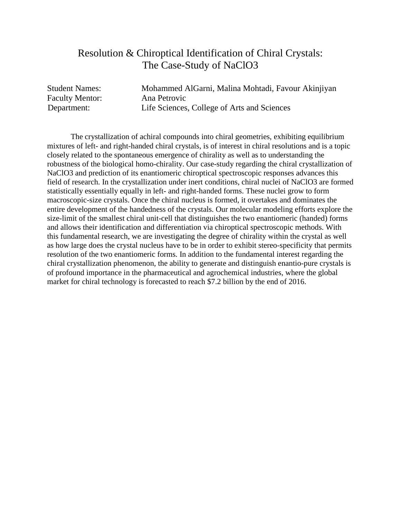# Resolution & Chiroptical Identification of Chiral Crystals: The Case-Study of NaClO3

Faculty Mentor: Ana Petrovic

Student Names: Mohammed AlGarni, Malina Mohtadi, Favour Akinjiyan Department: Life Sciences, College of Arts and Sciences

 The crystallization of achiral compounds into chiral geometries, exhibiting equilibrium mixtures of left- and right-handed chiral crystals, is of interest in chiral resolutions and is a topic closely related to the spontaneous emergence of chirality as well as to understanding the robustness of the biological homo-chirality. Our case-study regarding the chiral crystallization of NaClO3 and prediction of its enantiomeric chiroptical spectroscopic responses advances this field of research. In the crystallization under inert conditions, chiral nuclei of NaClO3 are formed statistically essentially equally in left- and right-handed forms. These nuclei grow to form macroscopic-size crystals. Once the chiral nucleus is formed, it overtakes and dominates the entire development of the handedness of the crystals. Our molecular modeling efforts explore the size-limit of the smallest chiral unit-cell that distinguishes the two enantiomeric (handed) forms and allows their identification and differentiation via chiroptical spectroscopic methods. With this fundamental research, we are investigating the degree of chirality within the crystal as well as how large does the crystal nucleus have to be in order to exhibit stereo-specificity that permits resolution of the two enantiomeric forms. In addition to the fundamental interest regarding the chiral crystallization phenomenon, the ability to generate and distinguish enantio-pure crystals is of profound importance in the pharmaceutical and agrochemical industries, where the global market for chiral technology is forecasted to reach \$7.2 billion by the end of 2016.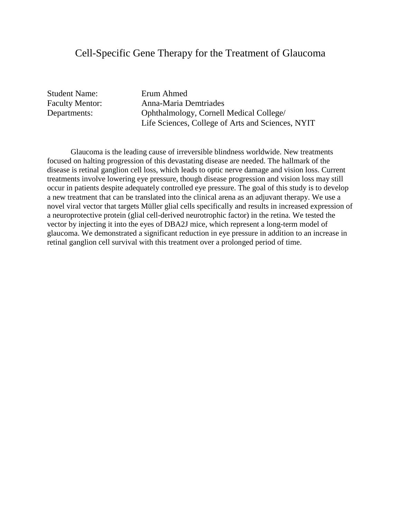#### Cell-Specific Gene Therapy for the Treatment of Glaucoma

Student Name: Erum Ahmed

Faculty Mentor: Anna-Maria Demtriades Departments: Ophthalmology, Cornell Medical College/ Life Sciences, College of Arts and Sciences, NYIT

 Glaucoma is the leading cause of irreversible blindness worldwide. New treatments focused on halting progression of this devastating disease are needed. The hallmark of the disease is retinal ganglion cell loss, which leads to optic nerve damage and vision loss. Current treatments involve lowering eye pressure, though disease progression and vision loss may still occur in patients despite adequately controlled eye pressure. The goal of this study is to develop a new treatment that can be translated into the clinical arena as an adjuvant therapy. We use a novel viral vector that targets Müller glial cells specifically and results in increased expression of a neuroprotective protein (glial cell-derived neurotrophic factor) in the retina. We tested the vector by injecting it into the eyes of DBA2J mice, which represent a long-term model of glaucoma. We demonstrated a significant reduction in eye pressure in addition to an increase in retinal ganglion cell survival with this treatment over a prolonged period of time.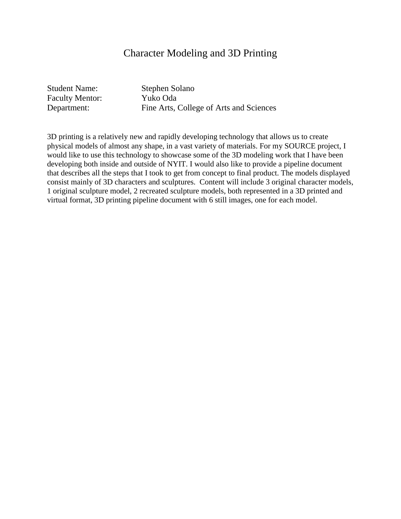## Character Modeling and 3D Printing

Student Name: Stephen Solano Faculty Mentor: Yuko Oda

Department: Fine Arts, College of Arts and Sciences

3D printing is a relatively new and rapidly developing technology that allows us to create physical models of almost any shape, in a vast variety of materials. For my SOURCE project, I would like to use this technology to showcase some of the 3D modeling work that I have been developing both inside and outside of NYIT. I would also like to provide a pipeline document that describes all the steps that I took to get from concept to final product. The models displayed consist mainly of 3D characters and sculptures. Content will include 3 original character models, 1 original sculpture model, 2 recreated sculpture models, both represented in a 3D printed and virtual format, 3D printing pipeline document with 6 still images, one for each model.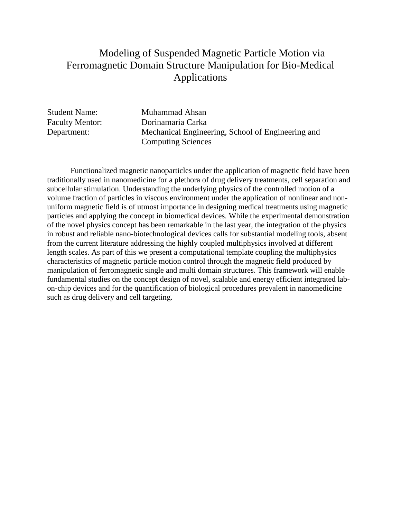# Modeling of Suspended Magnetic Particle Motion via Ferromagnetic Domain Structure Manipulation for Bio-Medical Applications

Student Name: Muhammad Ahsan Faculty Mentor: Dorinamaria Carka Department: Mechanical Engineering, School of Engineering and Computing Sciences

 Functionalized magnetic nanoparticles under the application of magnetic field have been traditionally used in nanomedicine for a plethora of drug delivery treatments, cell separation and subcellular stimulation. Understanding the underlying physics of the controlled motion of a volume fraction of particles in viscous environment under the application of nonlinear and nonuniform magnetic field is of utmost importance in designing medical treatments using magnetic particles and applying the concept in biomedical devices. While the experimental demonstration of the novel physics concept has been remarkable in the last year, the integration of the physics in robust and reliable nano-biotechnological devices calls for substantial modeling tools, absent from the current literature addressing the highly coupled multiphysics involved at different length scales. As part of this we present a computational template coupling the multiphysics characteristics of magnetic particle motion control through the magnetic field produced by manipulation of ferromagnetic single and multi domain structures. This framework will enable fundamental studies on the concept design of novel, scalable and energy efficient integrated labon-chip devices and for the quantification of biological procedures prevalent in nanomedicine such as drug delivery and cell targeting.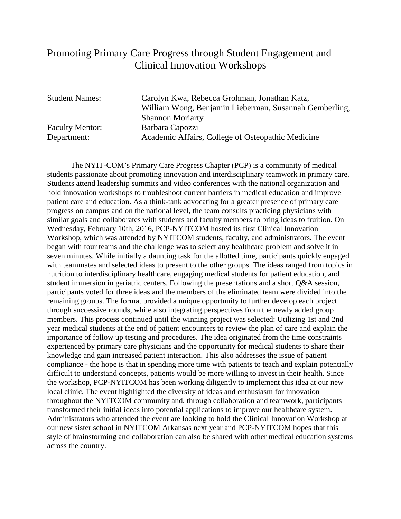# Promoting Primary Care Progress through Student Engagement and Clinical Innovation Workshops

Faculty Mentor: Barbara Capozzi

Student Names: Carolyn Kwa, Rebecca Grohman, Jonathan Katz, William Wong, Benjamin Lieberman, Susannah Gemberling, Shannon Moriarty Department: Academic Affairs, College of Osteopathic Medicine

The NYIT-COM's Primary Care Progress Chapter (PCP) is a community of medical students passionate about promoting innovation and interdisciplinary teamwork in primary care. Students attend leadership summits and video conferences with the national organization and hold innovation workshops to troubleshoot current barriers in medical education and improve patient care and education. As a think-tank advocating for a greater presence of primary care progress on campus and on the national level, the team consults practicing physicians with similar goals and collaborates with students and faculty members to bring ideas to fruition. On Wednesday, February 10th, 2016, PCP-NYITCOM hosted its first Clinical Innovation Workshop, which was attended by NYITCOM students, faculty, and administrators. The event began with four teams and the challenge was to select any healthcare problem and solve it in seven minutes. While initially a daunting task for the allotted time, participants quickly engaged with teammates and selected ideas to present to the other groups. The ideas ranged from topics in nutrition to interdisciplinary healthcare, engaging medical students for patient education, and student immersion in geriatric centers. Following the presentations and a short Q&A session, participants voted for three ideas and the members of the eliminated team were divided into the remaining groups. The format provided a unique opportunity to further develop each project through successive rounds, while also integrating perspectives from the newly added group members. This process continued until the winning project was selected: Utilizing 1st and 2nd year medical students at the end of patient encounters to review the plan of care and explain the importance of follow up testing and procedures. The idea originated from the time constraints experienced by primary care physicians and the opportunity for medical students to share their knowledge and gain increased patient interaction. This also addresses the issue of patient compliance - the hope is that in spending more time with patients to teach and explain potentially difficult to understand concepts, patients would be more willing to invest in their health. Since the workshop, PCP-NYITCOM has been working diligently to implement this idea at our new local clinic. The event highlighted the diversity of ideas and enthusiasm for innovation throughout the NYITCOM community and, through collaboration and teamwork, participants transformed their initial ideas into potential applications to improve our healthcare system. Administrators who attended the event are looking to hold the Clinical Innovation Workshop at our new sister school in NYITCOM Arkansas next year and PCP-NYITCOM hopes that this style of brainstorming and collaboration can also be shared with other medical education systems across the country.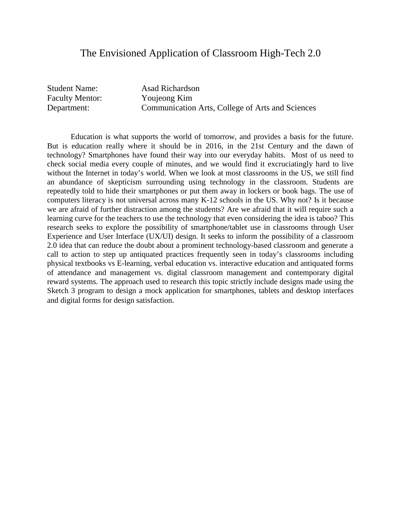#### The Envisioned Application of Classroom High-Tech 2.0

Student Name: Asad Richardson Faculty Mentor: Youjeong Kim

Department: Communication Arts, College of Arts and Sciences

 Education is what supports the world of tomorrow, and provides a basis for the future. But is education really where it should be in 2016, in the 21st Century and the dawn of technology? Smartphones have found their way into our everyday habits. Most of us need to check social media every couple of minutes, and we would find it excruciatingly hard to live without the Internet in today's world. When we look at most classrooms in the US, we still find an abundance of skepticism surrounding using technology in the classroom. Students are repeatedly told to hide their smartphones or put them away in lockers or book bags. The use of computers literacy is not universal across many K-12 schools in the US. Why not? Is it because we are afraid of further distraction among the students? Are we afraid that it will require such a learning curve for the teachers to use the technology that even considering the idea is taboo? This research seeks to explore the possibility of smartphone/tablet use in classrooms through User Experience and User Interface (UX/UI) design. It seeks to inform the possibility of a classroom 2.0 idea that can reduce the doubt about a prominent technology-based classroom and generate a call to action to step up antiquated practices frequently seen in today's classrooms including physical textbooks vs E-learning, verbal education vs. interactive education and antiquated forms of attendance and management vs. digital classroom management and contemporary digital reward systems. The approach used to research this topic strictly include designs made using the Sketch 3 program to design a mock application for smartphones, tablets and desktop interfaces and digital forms for design satisfaction.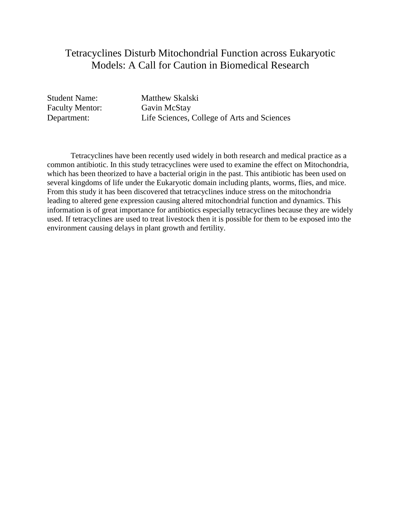# Tetracyclines Disturb Mitochondrial Function across Eukaryotic Models: A Call for Caution in Biomedical Research

Faculty Mentor: Gavin McStay<br>Department: Life Sciences,

Student Name: Matthew Skalski Life Sciences, College of Arts and Sciences

 Tetracyclines have been recently used widely in both research and medical practice as a common antibiotic. In this study tetracyclines were used to examine the effect on Mitochondria, which has been theorized to have a bacterial origin in the past. This antibiotic has been used on several kingdoms of life under the Eukaryotic domain including plants, worms, flies, and mice. From this study it has been discovered that tetracyclines induce stress on the mitochondria leading to altered gene expression causing altered mitochondrial function and dynamics. This information is of great importance for antibiotics especially tetracyclines because they are widely used. If tetracyclines are used to treat livestock then it is possible for them to be exposed into the environment causing delays in plant growth and fertility.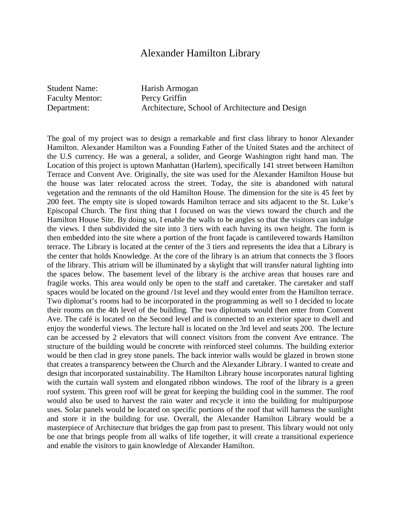#### Alexander Hamilton Library

Student Name: Harish Armogan Faculty Mentor: Percy Griffin

Department: Architecture, School of Architecture and Design

The goal of my project was to design a remarkable and first class library to honor Alexander Hamilton. Alexander Hamilton was a Founding Father of the United States and the architect of the U.S currency. He was a general, a solider, and George Washington right hand man. The Location of this project is uptown Manhattan (Harlem), specifically 141 street between Hamilton Terrace and Convent Ave. Originally, the site was used for the Alexander Hamilton House but the house was later relocated across the street. Today, the site is abandoned with natural vegetation and the remnants of the old Hamilton House. The dimension for the site is 45 feet by 200 feet. The empty site is sloped towards Hamilton terrace and sits adjacent to the St. Luke's Episcopal Church. The first thing that I focused on was the views toward the church and the Hamilton House Site. By doing so, I enable the walls to be angles so that the visitors can indulge the views. I then subdivided the site into 3 tiers with each having its own height. The form is then embedded into the site where a portion of the front façade is cantilevered towards Hamilton terrace. The Library is located at the center of the 3 tiers and represents the idea that a Library is the center that holds Knowledge. At the core of the library is an atrium that connects the 3 floors of the library. This atrium will be illuminated by a skylight that will transfer natural lighting into the spaces below. The basement level of the library is the archive areas that houses rare and fragile works. This area would only be open to the staff and caretaker. The caretaker and staff spaces would be located on the ground /1st level and they would enter from the Hamilton terrace. Two diplomat's rooms had to be incorporated in the programming as well so I decided to locate their rooms on the 4th level of the building. The two diplomats would then enter from Convent Ave. The café is located on the Second level and is connected to an exterior space to dwell and enjoy the wonderful views. The lecture hall is located on the 3rd level and seats 200. The lecture can be accessed by 2 elevators that will connect visitors from the convent Ave entrance. The structure of the building would be concrete with reinforced steel columns. The building exterior would be then clad in grey stone panels. The back interior walls would be glazed in brown stone that creates a transparency between the Church and the Alexander Library. I wanted to create and design that incorporated sustainability. The Hamilton Library house incorporates natural lighting with the curtain wall system and elongated ribbon windows. The roof of the library is a green roof system. This green roof will be great for keeping the building cool in the summer. The roof would also be used to harvest the rain water and recycle it into the building for multipurpose uses. Solar panels would be located on specific portions of the roof that will harness the sunlight and store it in the building for use. Overall, the Alexander Hamilton Library would be a masterpiece of Architecture that bridges the gap from past to present. This library would not only be one that brings people from all walks of life together, it will create a transitional experience and enable the visitors to gain knowledge of Alexander Hamilton.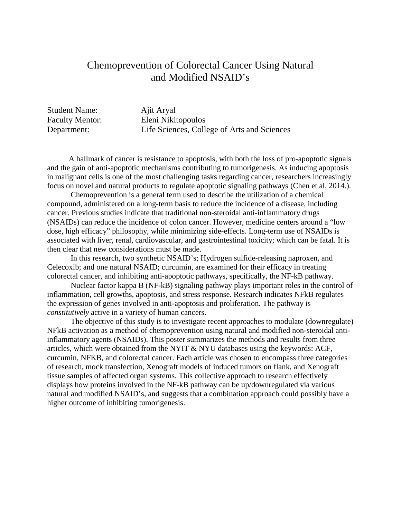## Chemoprevention of Colorectal Cancer Using Natural and Modified NSAID's

| <b>Student Name:</b>   | Ajit Aryal                                  |
|------------------------|---------------------------------------------|
| <b>Faculty Mentor:</b> | Eleni Nikitopoulos                          |
| Department:            | Life Sciences, College of Arts and Sciences |

 A hallmark of cancer is resistance to apoptosis, with both the loss of pro-apoptotic signals and the gain of anti-apoptotic mechanisms contributing to tumorigenesis. As inducing apoptosis in malignant cells is one of the most challenging tasks regarding cancer, researchers increasingly focus on novel and natural products to regulate apoptotic signaling pathways (Chen et al, 2014.).

Chemoprevention is a general term used to describe the utilization of a chemical compound, administered on a long-term basis to reduce the incidence of a disease, including cancer. Previous studies indicate that traditional non-steroidal anti-inflammatory drugs (NSAIDs) can reduce the incidence of colon cancer. However, medicine centers around a "low dose, high efficacy" philosophy, while minimizing side-effects. Long-term use of NSAIDs is associated with liver, renal, cardiovascular, and gastrointestinal toxicity; which can be fatal. It is then clear that new considerations must be made.

In this research, two synthetic NSAID's; Hydrogen sulfide-releasing naproxen, and Celecoxib; and one natural NSAID; curcumin, are examined for their efficacy in treating colorectal cancer, and inhibiting anti-apoptotic pathways, specifically, the NF-kB pathway.

Nuclear factor kappa B (NF-kB) signaling pathway plays important roles in the control of inflammation, cell growths, apoptosis, and stress response. Research indicates NFkB regulates the expression of genes involved in anti-apoptosis and proliferation. The pathway is *constitutively* active in a variety of human cancers.

The objective of this study is to investigate recent approaches to modulate (downregulate) NFkB activation as a method of chemoprevention using natural and modified non-steroidal antiinflammatory agents (NSAIDs). This poster summarizes the methods and results from three articles, which were obtained from the NYIT & NYU databases using the keywords: ACF, curcumin, NFKB, and colorectal cancer. Each article was chosen to encompass three categories of research, mock transfection, Xenograft models of induced tumors on flank, and Xenograft tissue samples of affected organ systems. This collective approach to research effectively displays how proteins involved in the NF-kB pathway can be up/downregulated via various natural and modified NSAID's, and suggests that a combination approach could possibly have a higher outcome of inhibiting tumorigenesis.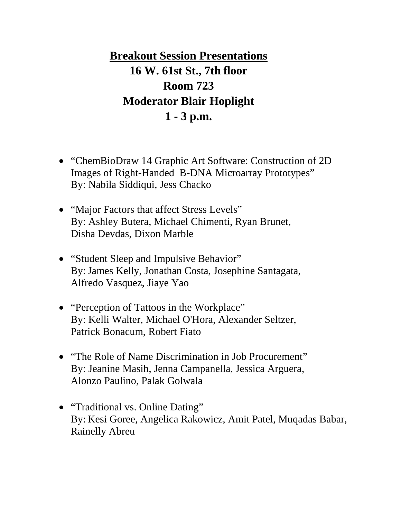**Breakout Session Presentations 16 W. 61st St., 7th floor Room 723 Moderator Blair Hoplight 1 - 3 p.m.**

- "ChemBioDraw 14 Graphic Art Software: Construction of 2D Images of Right-Handed B-DNA Microarray Prototypes" By: Nabila Siddiqui, Jess Chacko
- "Major Factors that affect Stress Levels" By: Ashley Butera, Michael Chimenti, Ryan Brunet, Disha Devdas, Dixon Marble
- "Student Sleep and Impulsive Behavior" By:James Kelly, Jonathan Costa, Josephine Santagata, Alfredo Vasquez, Jiaye Yao
- "Perception of Tattoos in the Workplace" By: Kelli Walter, Michael O'Hora, Alexander Seltzer, Patrick Bonacum, Robert Fiato
- "The Role of Name Discrimination in Job Procurement" By: Jeanine Masih, Jenna Campanella, Jessica Arguera, Alonzo Paulino, Palak Golwala
- "Traditional vs. Online Dating" By: Kesi Goree, Angelica Rakowicz, Amit Patel, Muqadas Babar, Rainelly Abreu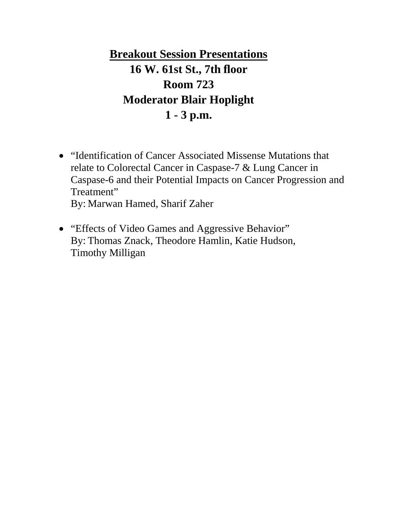**Breakout Session Presentations 16 W. 61st St., 7th floor Room 723 Moderator Blair Hoplight 1 - 3 p.m.**

- "Identification of Cancer Associated Missense Mutations that relate to Colorectal Cancer in Caspase-7 & Lung Cancer in Caspase-6 and their Potential Impacts on Cancer Progression and Treatment" By: Marwan Hamed, Sharif Zaher
- "Effects of Video Games and Aggressive Behavior" By: Thomas Znack, Theodore Hamlin, Katie Hudson, Timothy Milligan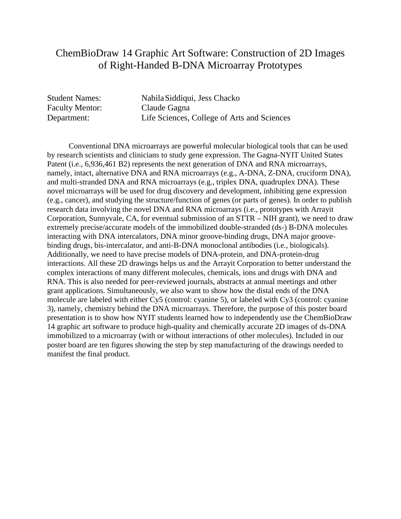# ChemBioDraw 14 Graphic Art Software: Construction of 2D Images of Right-Handed B-DNA Microarray Prototypes

Faculty Mentor: Claude Gagna

Student Names: NabilaSiddiqui, Jess Chacko Department: Life Sciences, College of Arts and Sciences

 Conventional DNA microarrays are powerful molecular biological tools that can be used by research scientists and clinicians to study gene expression. The Gagna-NYIT United States Patent (i.e., 6,936,461 B2) represents the next generation of DNA and RNA microarrays, namely, intact, alternative DNA and RNA microarrays (e.g., A-DNA, Z-DNA, cruciform DNA), and multi-stranded DNA and RNA microarrays (e.g., triplex DNA, quadruplex DNA). These novel microarrays will be used for drug discovery and development, inhibiting gene expression (e.g., cancer), and studying the structure/function of genes (or parts of genes). In order to publish research data involving the novel DNA and RNA microarrays (i.e., prototypes with Arrayit Corporation, Sunnyvale, CA, for eventual submission of an STTR – NIH grant), we need to draw extremely precise/accurate models of the immobilized double-stranded (ds-) B-DNA molecules interacting with DNA intercalators, DNA minor groove-binding drugs, DNA major groovebinding drugs, bis-intercalator, and anti-B-DNA monoclonal antibodies (i.e., biologicals). Additionally, we need to have precise models of DNA-protein, and DNA-protein-drug interactions. All these 2D drawings helps us and the Arrayit Corporation to better understand the complex interactions of many different molecules, chemicals, ions and drugs with DNA and RNA. This is also needed for peer-reviewed journals, abstracts at annual meetings and other grant applications. Simultaneously, we also want to show how the distal ends of the DNA molecule are labeled with either Cy5 (control: cyanine 5), or labeled with Cy3 (control: cyanine 3), namely, chemistry behind the DNA microarrays. Therefore, the purpose of this poster board presentation is to show how NYIT students learned how to independently use the ChemBioDraw 14 graphic art software to produce high-quality and chemically accurate 2D images of ds-DNA immobilized to a microarray (with or without interactions of other molecules). Included in our poster board are ten figures showing the step by step manufacturing of the drawings needed to manifest the final product.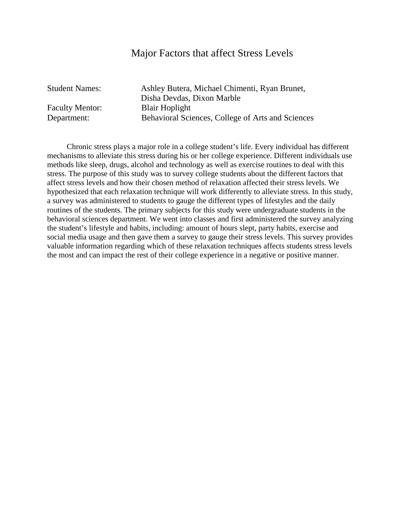#### Major Factors that affect Stress Levels

Student Names: Ashley Butera, Michael Chimenti, Ryan Brunet, Disha Devdas, Dixon Marble Faculty Mentor: Blair Hoplight Department: Behavioral Sciences, College of Arts and Sciences

 Chronic stress plays a major role in a college student's life. Every individual has different mechanisms to alleviate this stress during his or her college experience. Different individuals use methods like sleep, drugs, alcohol and technology as well as exercise routines to deal with this stress. The purpose of this study was to survey college students about the different factors that affect stress levels and how their chosen method of relaxation affected their stress levels. We hypothesized that each relaxation technique will work differently to alleviate stress. In this study, a survey was administered to students to gauge the different types of lifestyles and the daily routines of the students. The primary subjects for this study were undergraduate students in the behavioral sciences department. We went into classes and first administered the survey analyzing the student's lifestyle and habits, including: amount of hours slept, party habits, exercise and social media usage and then gave them a survey to gauge their stress levels. This survey provides valuable information regarding which of these relaxation techniques affects students stress levels the most and can impact the rest of their college experience in a negative or positive manner.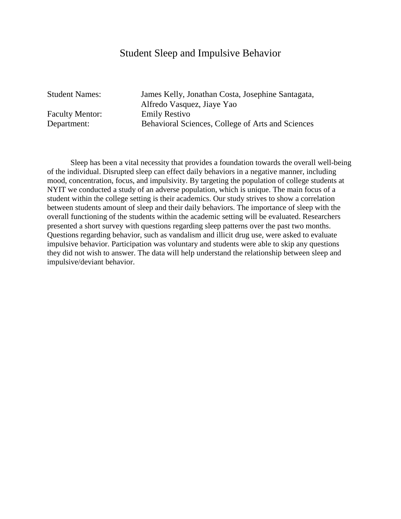## Student Sleep and Impulsive Behavior

Student Names: James Kelly, Jonathan Costa, Josephine Santagata, Alfredo Vasquez, Jiaye Yao Faculty Mentor: Emily Restivo Department: Behavioral Sciences, College of Arts and Sciences

 Sleep has been a vital necessity that provides a foundation towards the overall well-being of the individual. Disrupted sleep can effect daily behaviors in a negative manner, including mood, concentration, focus, and impulsivity. By targeting the population of college students at NYIT we conducted a study of an adverse population, which is unique. The main focus of a student within the college setting is their academics. Our study strives to show a correlation between students amount of sleep and their daily behaviors. The importance of sleep with the overall functioning of the students within the academic setting will be evaluated. Researchers presented a short survey with questions regarding sleep patterns over the past two months. Questions regarding behavior, such as vandalism and illicit drug use, were asked to evaluate impulsive behavior. Participation was voluntary and students were able to skip any questions they did not wish to answer. The data will help understand the relationship between sleep and impulsive/deviant behavior.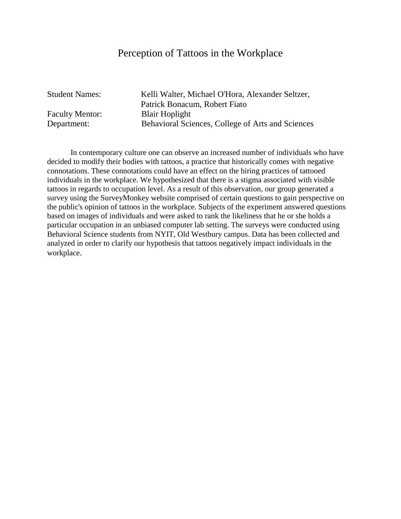#### Perception of Tattoos in the Workplace

Faculty Mentor: Blair Hoplight

Student Names: Kelli Walter, Michael O'Hora, Alexander Seltzer, Patrick Bonacum, Robert Fiato Department: Behavioral Sciences, College of Arts and Sciences

 In contemporary culture one can observe an increased number of individuals who have decided to modify their bodies with tattoos, a practice that historically comes with negative connotations. These connotations could have an effect on the hiring practices of tattooed individuals in the workplace. We hypothesized that there is a stigma associated with visible tattoos in regards to occupation level. As a result of this observation, our group generated a survey using the SurveyMonkey website comprised of certain questions to gain perspective on the public's opinion of tattoos in the workplace. Subjects of the experiment answered questions based on images of individuals and were asked to rank the likeliness that he or she holds a particular occupation in an unbiased computer lab setting. The surveys were conducted using Behavioral Science students from NYIT, Old Westbury campus. Data has been collected and analyzed in order to clarify our hypothesis that tattoos negatively impact individuals in the workplace.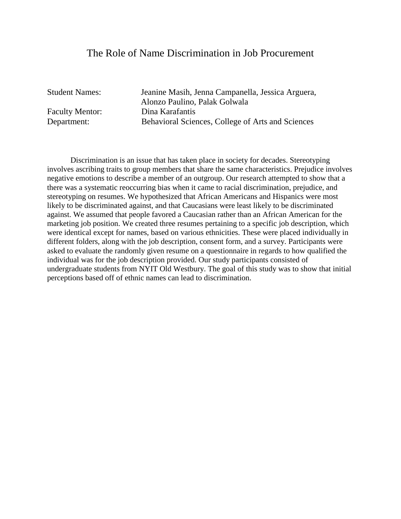#### The Role of Name Discrimination in Job Procurement

Student Names: Jeanine Masih, Jenna Campanella, Jessica Arguera, Alonzo Paulino, Palak Golwala Faculty Mentor: Dina Karafantis Department: Behavioral Sciences, College of Arts and Sciences

 Discrimination is an issue that has taken place in society for decades. Stereotyping involves ascribing traits to group members that share the same characteristics. Prejudice involves negative emotions to describe a member of an outgroup. Our research attempted to show that a there was a systematic reoccurring bias when it came to racial discrimination, prejudice, and stereotyping on resumes. We hypothesized that African Americans and Hispanics were most likely to be discriminated against, and that Caucasians were least likely to be discriminated against. We assumed that people favored a Caucasian rather than an African American for the marketing job position. We created three resumes pertaining to a specific job description, which were identical except for names, based on various ethnicities. These were placed individually in different folders, along with the job description, consent form, and a survey. Participants were asked to evaluate the randomly given resume on a questionnaire in regards to how qualified the individual was for the job description provided. Our study participants consisted of undergraduate students from NYIT Old Westbury. The goal of this study was to show that initial perceptions based off of ethnic names can lead to discrimination.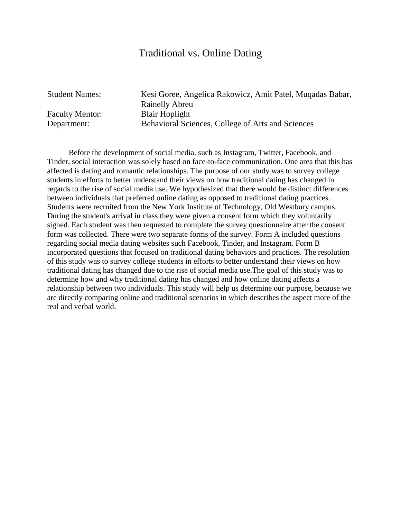#### Traditional vs. Online Dating

Faculty Mentor: Blair Hoplight

Student Names: Kesi Goree, Angelica Rakowicz, Amit Patel, Muqadas Babar, Rainelly Abreu Department: Behavioral Sciences, College of Arts and Sciences

 Before the development of social media, such as Instagram, Twitter, Facebook, and Tinder, social interaction was solely based on face-to-face communication. One area that this has affected is dating and romantic relationships. The purpose of our study was to survey college students in efforts to better understand their views on how traditional dating has changed in regards to the rise of social media use. We hypothesized that there would be distinct differences between individuals that preferred online dating as opposed to traditional dating practices. Students were recruited from the New York Institute of Technology, Old Westbury campus. During the student's arrival in class they were given a consent form which they voluntarily signed. Each student was then requested to complete the survey questionnaire after the consent form was collected. There were two separate forms of the survey. Form A included questions regarding social media dating websites such Facebook, Tinder, and Instagram. Form B incorporated questions that focused on traditional dating behaviors and practices. The resolution of this study was to survey college students in efforts to better understand their views on how traditional dating has changed due to the rise of social media use.The goal of this study was to determine how and why traditional dating has changed and how online dating affects a relationship between two individuals. This study will help us determine our purpose, because we are directly comparing online and traditional scenarios in which describes the aspect more of the real and verbal world.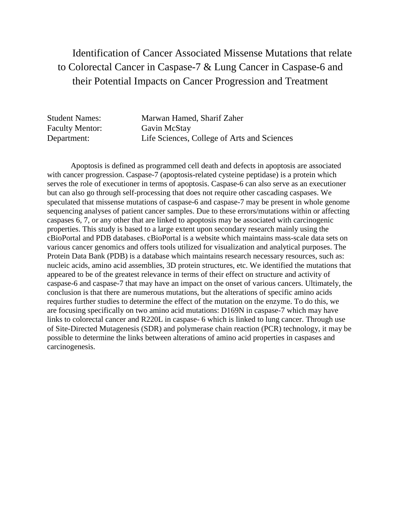# Identification of Cancer Associated Missense Mutations that relate to Colorectal Cancer in Caspase-7 & Lung Cancer in Caspase-6 and their Potential Impacts on Cancer Progression and Treatment

| <b>Student Names:</b>  | Marwan Hamed, Sharif Zaher                  |
|------------------------|---------------------------------------------|
| <b>Faculty Mentor:</b> | Gavin McStay                                |
| Department:            | Life Sciences, College of Arts and Sciences |

Apoptosis is defined as programmed cell death and defects in apoptosis are associated with cancer progression. Caspase-7 (apoptosis-related cysteine peptidase) is a protein which serves the role of executioner in terms of apoptosis. Caspase-6 can also serve as an executioner but can also go through self-processing that does not require other cascading caspases. We speculated that missense mutations of caspase-6 and caspase-7 may be present in whole genome sequencing analyses of patient cancer samples. Due to these errors/mutations within or affecting caspases 6, 7, or any other that are linked to apoptosis may be associated with carcinogenic properties. This study is based to a large extent upon secondary research mainly using the cBioPortal and PDB databases. cBioPortal is a website which maintains mass-scale data sets on various cancer genomics and offers tools utilized for visualization and analytical purposes. The Protein Data Bank (PDB) is a database which maintains research necessary resources, such as: nucleic acids, amino acid assemblies, 3D protein structures, etc. We identified the mutations that appeared to be of the greatest relevance in terms of their effect on structure and activity of caspase-6 and caspase-7 that may have an impact on the onset of various cancers. Ultimately, the conclusion is that there are numerous mutations, but the alterations of specific amino acids requires further studies to determine the effect of the mutation on the enzyme. To do this, we are focusing specifically on two amino acid mutations: D169N in caspase-7 which may have links to colorectal cancer and R220L in caspase- 6 which is linked to lung cancer. Through use of Site-Directed Mutagenesis (SDR) and polymerase chain reaction (PCR) technology, it may be possible to determine the links between alterations of amino acid properties in caspases and carcinogenesis.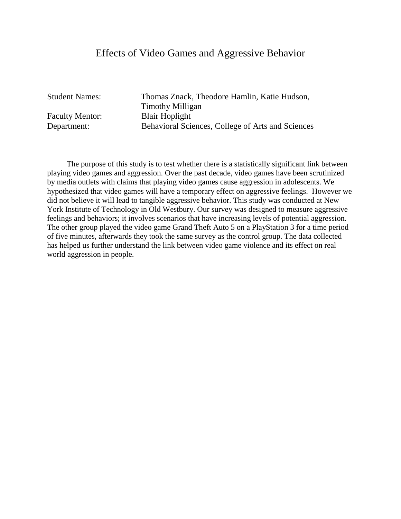#### Effects of Video Games and Aggressive Behavior

Faculty Mentor: Blair Hoplight

Student Names: Thomas Znack, Theodore Hamlin, Katie Hudson, Timothy Milligan Department: Behavioral Sciences, College of Arts and Sciences

 The purpose of this study is to test whether there is a statistically significant link between playing video games and aggression. Over the past decade, video games have been scrutinized by media outlets with claims that playing video games cause aggression in adolescents. We hypothesized that video games will have a temporary effect on aggressive feelings. However we did not believe it will lead to tangible aggressive behavior. This study was conducted at New York Institute of Technology in Old Westbury. Our survey was designed to measure aggressive feelings and behaviors; it involves scenarios that have increasing levels of potential aggression. The other group played the video game Grand Theft Auto 5 on a PlayStation 3 for a time period of five minutes, afterwards they took the same survey as the control group. The data collected has helped us further understand the link between video game violence and its effect on real world aggression in people.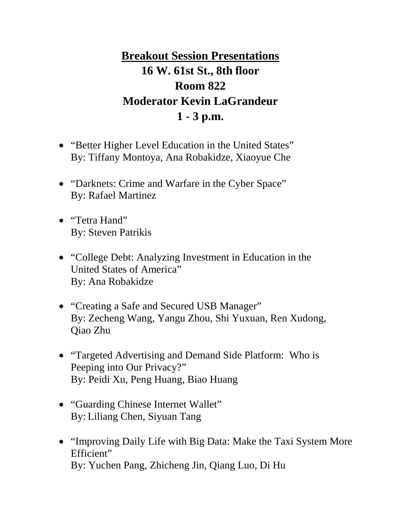# **Breakout Session Presentations 16 W. 61st St., 8th floor Room 822 Moderator Kevin LaGrandeur 1 - 3 p.m.**

- "Better Higher Level Education in the United States" By: Tiffany Montoya, Ana Robakidze, Xiaoyue Che
- "Darknets: Crime and Warfare in the Cyber Space" By: Rafael Martinez
- "Tetra Hand" By: Steven Patrikis
- "College Debt: Analyzing Investment in Education in the United States of America" By: Ana Robakidze
- "Creating a Safe and Secured USB Manager" By: Zecheng Wang, Yangu Zhou, Shi Yuxuan, Ren Xudong, Qiao Zhu
- "Targeted Advertising and Demand Side Platform: Who is Peeping into Our Privacy?" By: Peidi Xu, Peng Huang, Biao Huang
- "Guarding Chinese Internet Wallet" By: Liliang Chen, Siyuan Tang
- "Improving Daily Life with Big Data: Make the Taxi System More Efficient" By: Yuchen Pang, Zhicheng Jin, Qiang Luo, Di Hu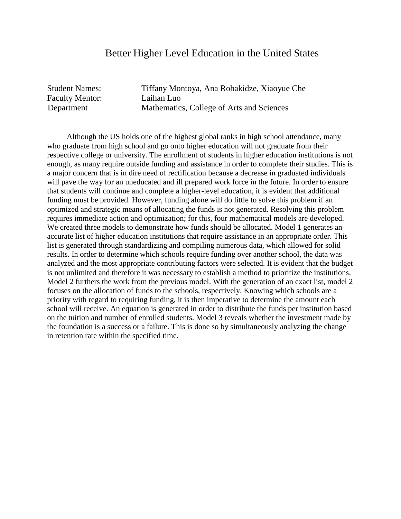#### Better Higher Level Education in the United States

Faculty Mentor: Laihan Luo

Student Names: Tiffany Montoya, Ana Robakidze, Xiaoyue Che Department Mathematics, College of Arts and Sciences

 Although the US holds one of the highest global ranks in high school attendance, many who graduate from high school and go onto higher education will not graduate from their respective college or university. The enrollment of students in higher education institutions is not enough, as many require outside funding and assistance in order to complete their studies. This is a major concern that is in dire need of rectification because a decrease in graduated individuals will pave the way for an uneducated and ill prepared work force in the future. In order to ensure that students will continue and complete a higher-level education, it is evident that additional funding must be provided. However, funding alone will do little to solve this problem if an optimized and strategic means of allocating the funds is not generated. Resolving this problem requires immediate action and optimization; for this, four mathematical models are developed. We created three models to demonstrate how funds should be allocated. Model 1 generates an accurate list of higher education institutions that require assistance in an appropriate order. This list is generated through standardizing and compiling numerous data, which allowed for solid results. In order to determine which schools require funding over another school, the data was analyzed and the most appropriate contributing factors were selected. It is evident that the budget is not unlimited and therefore it was necessary to establish a method to prioritize the institutions. Model 2 furthers the work from the previous model. With the generation of an exact list, model 2 focuses on the allocation of funds to the schools, respectively. Knowing which schools are a priority with regard to requiring funding, it is then imperative to determine the amount each school will receive. An equation is generated in order to distribute the funds per institution based on the tuition and number of enrolled students. Model 3 reveals whether the investment made by the foundation is a success or a failure. This is done so by simultaneously analyzing the change in retention rate within the specified time.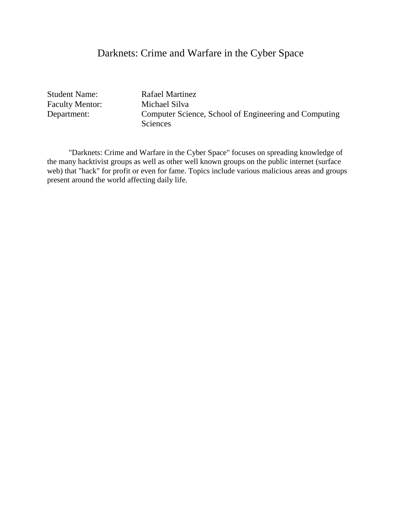# Darknets: Crime and Warfare in the Cyber Space

Student Name: Rafael Martinez Faculty Mentor: Michael Silva

Department: Computer Science, School of Engineering and Computing Sciences

 "Darknets: Crime and Warfare in the Cyber Space" focuses on spreading knowledge of the many hacktivist groups as well as other well known groups on the public internet (surface web) that "hack" for profit or even for fame. Topics include various malicious areas and groups present around the world affecting daily life.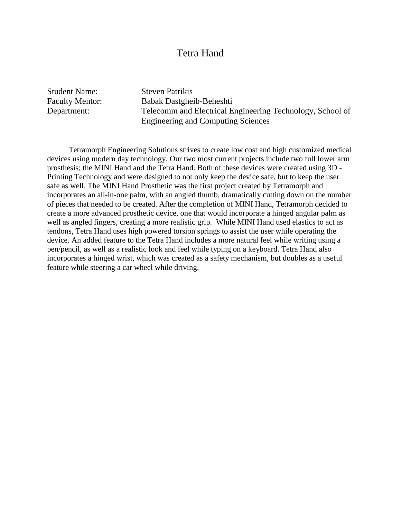#### Tetra Hand

Student Name: Steven Patrikis Faculty Mentor: Babak Dastgheib-Beheshti Department: Telecomm and Electrical Engineering Technology, School of Engineering and Computing Sciences

 Tetramorph Engineering Solutions strives to create low cost and high customized medical devices using modern day technology. Our two most current projects include two full lower arm prosthesis; the MINI Hand and the Tetra Hand. Both of these devices were created using 3D - Printing Technology and were designed to not only keep the device safe, but to keep the user safe as well. The MINI Hand Prosthetic was the first project created by Tetramorph and incorporates an all-in-one palm, with an angled thumb, dramatically cutting down on the number of pieces that needed to be created. After the completion of MINI Hand, Tetramorph decided to create a more advanced prosthetic device, one that would incorporate a hinged angular palm as well as angled fingers, creating a more realistic grip. While MINI Hand used elastics to act as tendons, Tetra Hand uses high powered torsion springs to assist the user while operating the device. An added feature to the Tetra Hand includes a more natural feel while writing using a pen/pencil, as well as a realistic look and feel while typing on a keyboard. Tetra Hand also incorporates a hinged wrist, which was created as a safety mechanism, but doubles as a useful feature while steering a car wheel while driving.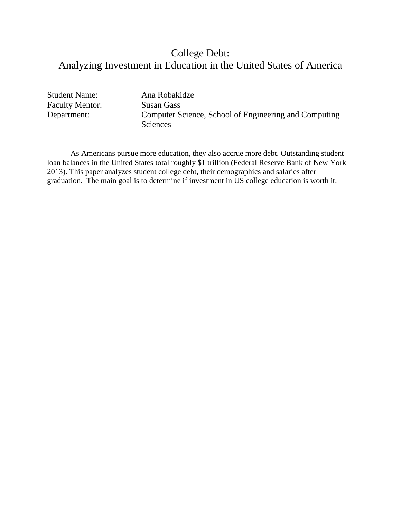# College Debt: Analyzing Investment in Education in the United States of America

Student Name: Ana Robakidze Faculty Mentor: Susan Gass<br>
Department: Computer S

Computer Science, School of Engineering and Computing **Sciences** 

 As Americans pursue more education, they also accrue more debt. Outstanding student loan balances in the United States total roughly \$1 trillion (Federal Reserve Bank of New York 2013). This paper analyzes student college debt, their demographics and salaries after graduation. The main goal is to determine if investment in US college education is worth it.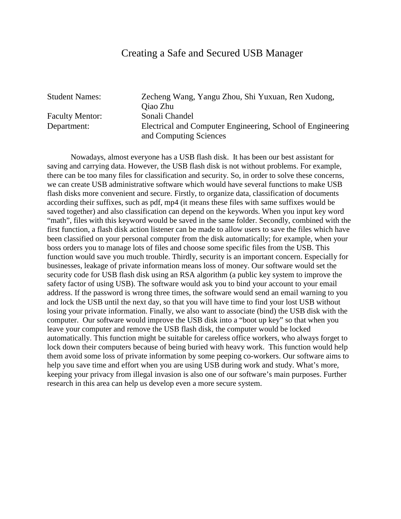#### Creating a Safe and Secured USB Manager

Student Names: Zecheng Wang, Yangu Zhou, Shi Yuxuan, Ren Xudong, Qiao Zhu Faculty Mentor: Sonali Chandel Department: Electrical and Computer Engineering, School of Engineering and Computing Sciences

Nowadays, almost everyone has a USB flash disk. It has been our best assistant for saving and carrying data. However, the USB flash disk is not without problems. For example, there can be too many files for classification and security. So, in order to solve these concerns, we can create USB administrative software which would have several functions to make USB flash disks more convenient and secure. Firstly, to organize data, classification of documents according their suffixes, such as pdf, mp4 (it means these files with same suffixes would be saved together) and also classification can depend on the keywords. When you input key word "math", files with this keyword would be saved in the same folder. Secondly, combined with the first function, a flash disk action listener can be made to allow users to save the files which have been classified on your personal computer from the disk automatically; for example, when your boss orders you to manage lots of files and choose some specific files from the USB. This function would save you much trouble. Thirdly, security is an important concern. Especially for businesses, leakage of private information means loss of money. Our software would set the security code for USB flash disk using an RSA algorithm (a public key system to improve the safety factor of using USB). The software would ask you to bind your account to your email address. If the password is wrong three times, the software would send an email warning to you and lock the USB until the next day, so that you will have time to find your lost USB without losing your private information. Finally, we also want to associate (bind) the USB disk with the computer. Our software would improve the USB disk into a "boot up key" so that when you leave your computer and remove the USB flash disk, the computer would be locked automatically. This function might be suitable for careless office workers, who always forget to lock down their computers because of being buried with heavy work. This function would help them avoid some loss of private information by some peeping co-workers. Our software aims to help you save time and effort when you are using USB during work and study. What's more, keeping your privacy from illegal invasion is also one of our software's main purposes. Further research in this area can help us develop even a more secure system.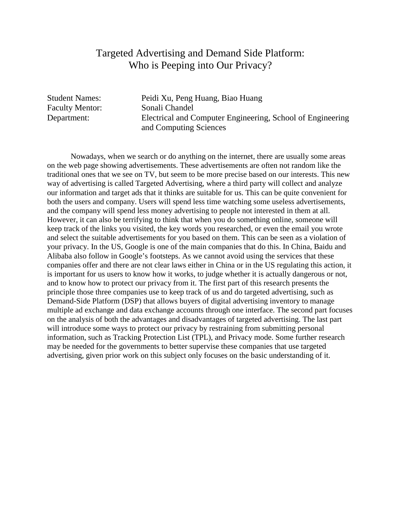# Targeted Advertising and Demand Side Platform: Who is Peeping into Our Privacy?

Student Names: Peidi Xu, Peng Huang, Biao Huang Faculty Mentor: Sonali Chandel Department: Electrical and Computer Engineering, School of Engineering and Computing Sciences

Nowadays, when we search or do anything on the internet, there are usually some areas on the web page showing advertisements. These advertisements are often not random like the traditional ones that we see on TV, but seem to be more precise based on our interests. This new way of advertising is called Targeted Advertising, where a third party will collect and analyze our information and target ads that it thinks are suitable for us. This can be quite convenient for both the users and company. Users will spend less time watching some useless advertisements, and the company will spend less money advertising to people not interested in them at all. However, it can also be terrifying to think that when you do something online, someone will keep track of the links you visited, the key words you researched, or even the email you wrote and select the suitable advertisements for you based on them. This can be seen as a violation of your privacy. In the US, Google is one of the main companies that do this. In China, Baidu and Alibaba also follow in Google's footsteps. As we cannot avoid using the services that these companies offer and there are not clear laws either in China or in the US regulating this action, it is important for us users to know how it works, to judge whether it is actually dangerous or not, and to know how to protect our privacy from it. The first part of this research presents the principle those three companies use to keep track of us and do targeted advertising, such as Demand-Side Platform (DSP) that allows buyers of digital advertising inventory to manage multiple ad exchange and data exchange accounts through one interface. The second part focuses on the analysis of both the advantages and disadvantages of targeted advertising. The last part will introduce some ways to protect our privacy by restraining from submitting personal information, such as Tracking Protection List (TPL), and Privacy mode. Some further research may be needed for the governments to better supervise these companies that use targeted advertising, given prior work on this subject only focuses on the basic understanding of it.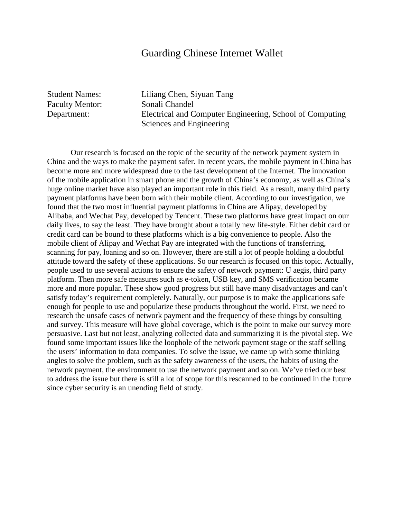#### Guarding Chinese Internet Wallet

Faculty Mentor: Sonali Chandel

Student Names: Liliang Chen, Siyuan Tang Department: Electrical and Computer Engineering, School of Computing Sciences and Engineering

Our research is focused on the topic of the security of the network payment system in China and the ways to make the payment safer. In recent years, the mobile payment in China has become more and more widespread due to the fast development of the Internet. The innovation of the mobile application in smart phone and the growth of China's economy, as well as China's huge online market have also played an important role in this field. As a result, many third party payment platforms have been born with their mobile client. According to our investigation, we found that the two most influential payment platforms in China are Alipay, developed by Alibaba, and Wechat Pay, developed by Tencent. These two platforms have great impact on our daily lives, to say the least. They have brought about a totally new life-style. Either debit card or credit card can be bound to these platforms which is a big convenience to people. Also the mobile client of Alipay and Wechat Pay are integrated with the functions of transferring, scanning for pay, loaning and so on. However, there are still a lot of people holding a doubtful attitude toward the safety of these applications. So our research is focused on this topic. Actually, people used to use several actions to ensure the safety of network payment: U aegis, third party platform. Then more safe measures such as e-token, USB key, and SMS verification became more and more popular. These show good progress but still have many disadvantages and can't satisfy today's requirement completely. Naturally, our purpose is to make the applications safe enough for people to use and popularize these products throughout the world. First, we need to research the unsafe cases of network payment and the frequency of these things by consulting and survey. This measure will have global coverage, which is the point to make our survey more persuasive. Last but not least, analyzing collected data and summarizing it is the pivotal step. We found some important issues like the loophole of the network payment stage or the staff selling the users' information to data companies. To solve the issue, we came up with some thinking angles to solve the problem, such as the safety awareness of the users, the habits of using the network payment, the environment to use the network payment and so on. We've tried our best to address the issue but there is still a lot of scope for this rescanned to be continued in the future since cyber security is an unending field of study.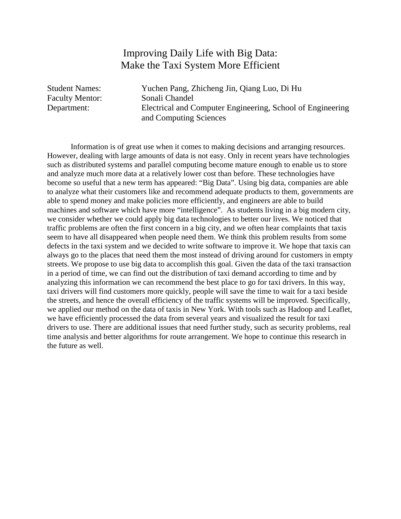# Improving Daily Life with Big Data: Make the Taxi System More Efficient

Student Names: Yuchen Pang, Zhicheng Jin, Qiang Luo, Di Hu Faculty Mentor: Sonali Chandel Department: Electrical and Computer Engineering, School of Engineering and Computing Sciences

Information is of great use when it comes to making decisions and arranging resources. However, dealing with large amounts of data is not easy. Only in recent years have technologies such as distributed systems and parallel computing become mature enough to enable us to store and analyze much more data at a relatively lower cost than before. These technologies have become so useful that a new term has appeared: "Big Data". Using big data, companies are able to analyze what their customers like and recommend adequate products to them, governments are able to spend money and make policies more efficiently, and engineers are able to build machines and software which have more "intelligence". As students living in a big modern city, we consider whether we could apply big data technologies to better our lives. We noticed that traffic problems are often the first concern in a big city, and we often hear complaints that taxis seem to have all disappeared when people need them. We think this problem results from some defects in the taxi system and we decided to write software to improve it. We hope that taxis can always go to the places that need them the most instead of driving around for customers in empty streets. We propose to use big data to accomplish this goal. Given the data of the taxi transaction in a period of time, we can find out the distribution of taxi demand according to time and by analyzing this information we can recommend the best place to go for taxi drivers. In this way, taxi drivers will find customers more quickly, people will save the time to wait for a taxi beside the streets, and hence the overall efficiency of the traffic systems will be improved. Specifically, we applied our method on the data of taxis in New York. With tools such as Hadoop and Leaflet, we have efficiently processed the data from several years and visualized the result for taxi drivers to use. There are additional issues that need further study, such as security problems, real time analysis and better algorithms for route arrangement. We hope to continue this research in the future as well.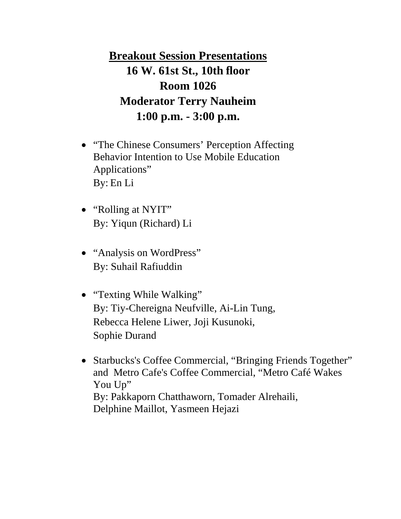**Breakout Session Presentations 16 W. 61st St., 10th floor Room 1026 Moderator Terry Nauheim 1:00 p.m. - 3:00 p.m.**

- "The Chinese Consumers' Perception Affecting Behavior Intention to Use Mobile Education Applications" By: En Li
- "Rolling at NYIT" By: Yiqun (Richard) Li
- "Analysis on WordPress" By: Suhail Rafiuddin
- "Texting While Walking" By: Tiy-Chereigna Neufville, Ai-Lin Tung, Rebecca Helene Liwer, Joji Kusunoki, Sophie Durand
- Starbucks's Coffee Commercial, "Bringing Friends Together" and Metro Cafe's Coffee Commercial, "Metro Café Wakes You Up" By: Pakkaporn Chatthaworn, Tomader Alrehaili, Delphine Maillot, Yasmeen Hejazi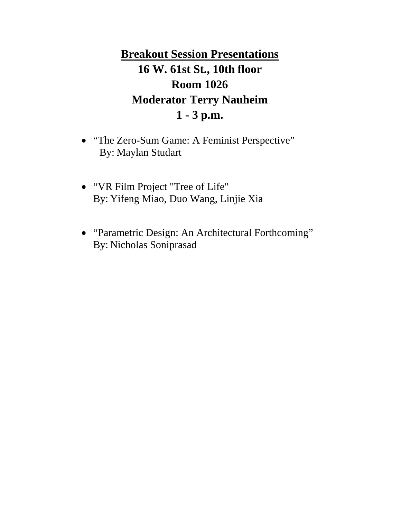**Breakout Session Presentations 16 W. 61st St., 10th floor Room 1026 Moderator Terry Nauheim 1 - 3 p.m.**

- "The Zero-Sum Game: A Feminist Perspective" By: Maylan Studart
- "VR Film Project "Tree of Life" By: Yifeng Miao, Duo Wang, Linjie Xia
- "Parametric Design: An Architectural Forthcoming" By: Nicholas Soniprasad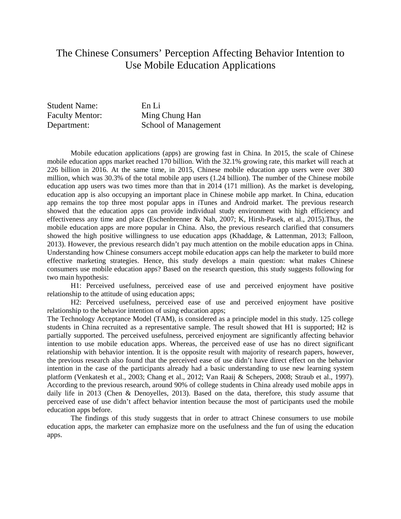# The Chinese Consumers' Perception Affecting Behavior Intention to Use Mobile Education Applications

| <b>Student Name:</b>   | En Li                |
|------------------------|----------------------|
| <b>Faculty Mentor:</b> | Ming Chung Han       |
| Department:            | School of Management |

Mobile education applications (apps) are growing fast in China. In 2015, the scale of Chinese mobile education apps market reached 170 billion. With the 32.1% growing rate, this market will reach at 226 billion in 2016. At the same time, in 2015, Chinese mobile education app users were over 380 million, which was 30.3% of the total mobile app users (1.24 billion). The number of the Chinese mobile education app users was two times more than that in 2014 (171 million). As the market is developing, education app is also occupying an important place in Chinese mobile app market. In China, education app remains the top three most popular apps in iTunes and Android market. The previous research showed that the education apps can provide individual study environment with high efficiency and effectiveness any time and place (Eschenbrenner & Nah, 2007; K, Hirsh-Pasek, et al., 2015).Thus, the mobile education apps are more popular in China. Also, the previous research clarified that consumers showed the high positive willingness to use education apps (Khaddage, & Lattenman, 2013; Falloon, 2013). However, the previous research didn't pay much attention on the mobile education apps in China. Understanding how Chinese consumers accept mobile education apps can help the marketer to build more effective marketing strategies. Hence, this study develops a main question: what makes Chinese consumers use mobile education apps? Based on the research question, this study suggests following for two main hypothesis:

H1: Perceived usefulness, perceived ease of use and perceived enjoyment have positive relationship to the attitude of using education apps;

H2: Perceived usefulness, perceived ease of use and perceived enjoyment have positive relationship to the behavior intention of using education apps;

The Technology Acceptance Model (TAM), is considered as a principle model in this study. 125 college students in China recruited as a representative sample. The result showed that H1 is supported; H2 is partially supported. The perceived usefulness, perceived enjoyment are significantly affecting behavior intention to use mobile education apps. Whereas, the perceived ease of use has no direct significant relationship with behavior intention. It is the opposite result with majority of research papers, however, the previous research also found that the perceived ease of use didn't have direct effect on the behavior intention in the case of the participants already had a basic understanding to use new learning system platform (Venkatesh et al., 2003; Chang et al., 2012; Van Raaij & Schepers, 2008; Straub et al., 1997). According to the previous research, around 90% of college students in China already used mobile apps in daily life in 2013 (Chen & Denoyelles, 2013). Based on the data, therefore, this study assume that perceived ease of use didn't affect behavior intention because the most of participants used the mobile education apps before.

The findings of this study suggests that in order to attract Chinese consumers to use mobile education apps, the marketer can emphasize more on the usefulness and the fun of using the education apps.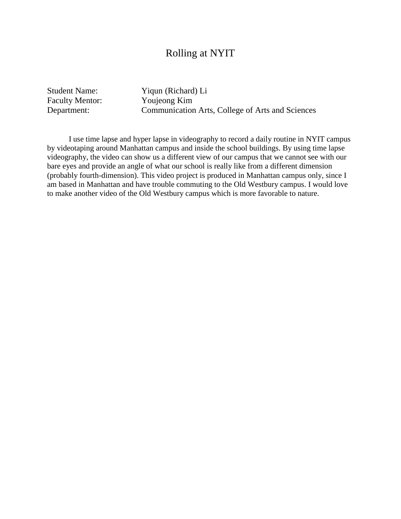#### Rolling at NYIT

Faculty Mentor:

Student Name: Yiqun (Richard) Li<br>Faculty Mentor: Youjeong Kim Department: Communication Arts, College of Arts and Sciences

 I use time lapse and hyper lapse in videography to record a daily routine in NYIT campus by videotaping around Manhattan campus and inside the school buildings. By using time lapse videography, the video can show us a different view of our campus that we cannot see with our bare eyes and provide an angle of what our school is really like from a different dimension (probably fourth-dimension). This video project is produced in Manhattan campus only, since I am based in Manhattan and have trouble commuting to the Old Westbury campus. I would love to make another video of the Old Westbury campus which is more favorable to nature.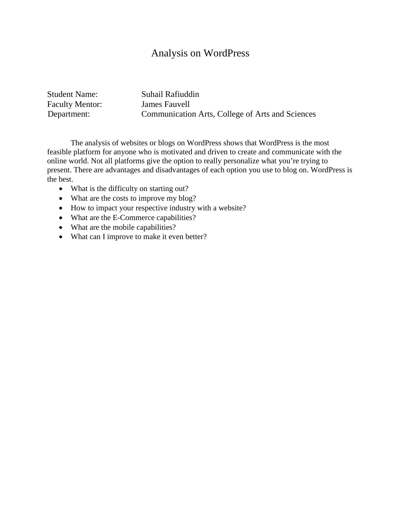# Analysis on WordPress

| <b>Student Name:</b>   | Suhail Rafiuddin                                 |
|------------------------|--------------------------------------------------|
| <b>Faculty Mentor:</b> | James Fauvell                                    |
| Department:            | Communication Arts, College of Arts and Sciences |

The analysis of websites or blogs on WordPress shows that WordPress is the most feasible platform for anyone who is motivated and driven to create and communicate with the online world. Not all platforms give the option to really personalize what you're trying to present. There are advantages and disadvantages of each option you use to blog on. WordPress is the best.

- What is the difficulty on starting out?
- What are the costs to improve my blog?
- How to impact your respective industry with a website?
- What are the E-Commerce capabilities?
- What are the mobile capabilities?
- What can I improve to make it even better?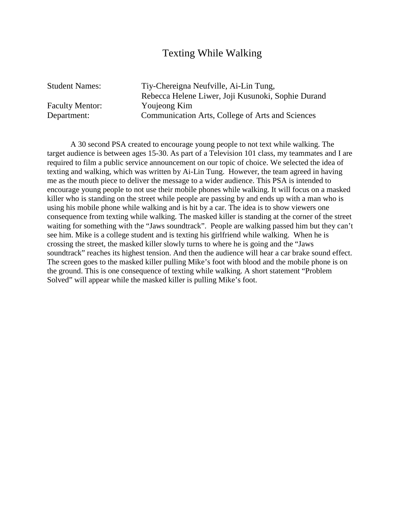#### Texting While Walking

Student Names: Tiy-Chereigna Neufville, Ai-Lin Tung, Rebecca Helene Liwer, Joji Kusunoki, Sophie Durand Faculty Mentor: Youjeong Kim Department: Communication Arts, College of Arts and Sciences

 A 30 second PSA created to encourage young people to not text while walking. The target audience is between ages 15-30. As part of a Television 101 class, my teammates and I are required to film a public service announcement on our topic of choice. We selected the idea of texting and walking, which was written by Ai-Lin Tung. However, the team agreed in having me as the mouth piece to deliver the message to a wider audience. This PSA is intended to encourage young people to not use their mobile phones while walking. It will focus on a masked killer who is standing on the street while people are passing by and ends up with a man who is using his mobile phone while walking and is hit by a car. The idea is to show viewers one consequence from texting while walking. The masked killer is standing at the corner of the street waiting for something with the "Jaws soundtrack". People are walking passed him but they can't see him. Mike is a college student and is texting his girlfriend while walking. When he is crossing the street, the masked killer slowly turns to where he is going and the "Jaws soundtrack" reaches its highest tension. And then the audience will hear a car brake sound effect. The screen goes to the masked killer pulling Mike's foot with blood and the mobile phone is on the ground. This is one consequence of texting while walking. A short statement "Problem Solved" will appear while the masked killer is pulling Mike's foot.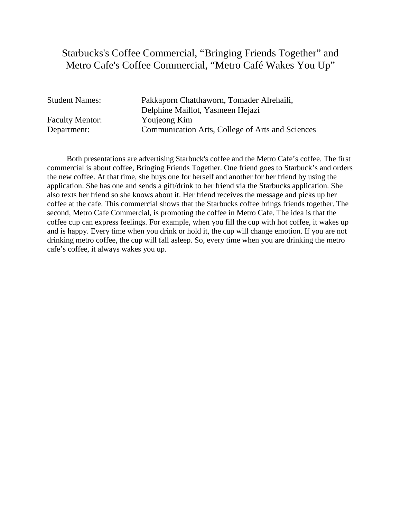# Starbucks's Coffee Commercial, "Bringing Friends Together" and Metro Cafe's Coffee Commercial, "Metro Café Wakes You Up"

| <b>Student Names:</b>  | Pakkaporn Chatthaworn, Tomader Alrehaili,        |
|------------------------|--------------------------------------------------|
|                        | Delphine Maillot, Yasmeen Hejazi                 |
| <b>Faculty Mentor:</b> | Youjeong Kim                                     |
| Department:            | Communication Arts, College of Arts and Sciences |

 Both presentations are advertising Starbuck's coffee and the Metro Cafe's coffee. The first commercial is about coffee, Bringing Friends Together. One friend goes to Starbuck's and orders the new coffee. At that time, she buys one for herself and another for her friend by using the application. She has one and sends a gift/drink to her friend via the Starbucks application. She also texts her friend so she knows about it. Her friend receives the message and picks up her coffee at the cafe. This commercial shows that the Starbucks coffee brings friends together. The second, Metro Cafe Commercial, is promoting the coffee in Metro Cafe. The idea is that the coffee cup can express feelings. For example, when you fill the cup with hot coffee, it wakes up and is happy. Every time when you drink or hold it, the cup will change emotion. If you are not drinking metro coffee, the cup will fall asleep. So, every time when you are drinking the metro cafe's coffee, it always wakes you up.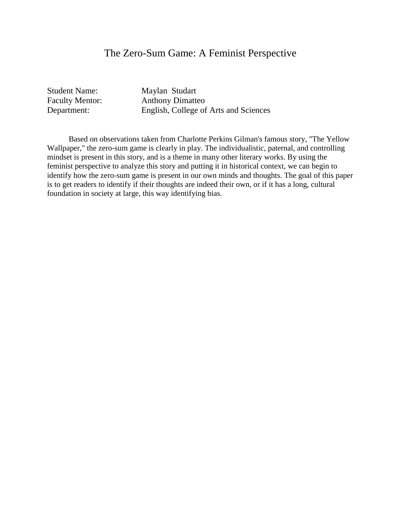#### The Zero-Sum Game: A Feminist Perspective

Student Name: Maylan Studart Faculty Mentor: Anthony Dimatteo Department: English, College of Arts and Sciences

 Based on observations taken from Charlotte Perkins Gilman's famous story, "The Yellow Wallpaper," the zero-sum game is clearly in play. The individualistic, paternal, and controlling mindset is present in this story, and is a theme in many other literary works. By using the feminist perspective to analyze this story and putting it in historical context, we can begin to identify how the zero-sum game is present in our own minds and thoughts. The goal of this paper is to get readers to identify if their thoughts are indeed their own, or if it has a long, cultural foundation in society at large, this way identifying bias.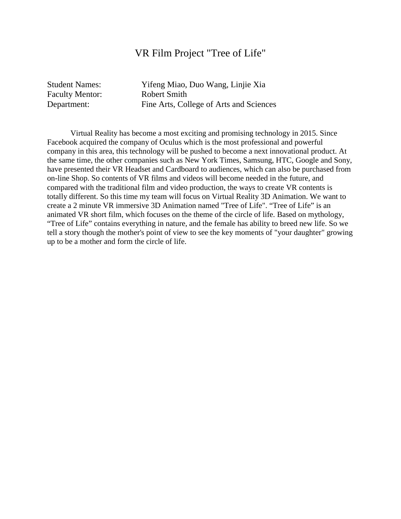#### VR Film Project "Tree of Life"

Faculty Mentor: Robert Smith

Student Names: Yifeng Miao, Duo Wang, Linjie Xia Department: Fine Arts, College of Arts and Sciences

 Virtual Reality has become a most exciting and promising technology in 2015. Since Facebook acquired the company of Oculus which is the most professional and powerful company in this area, this technology will be pushed to become a next innovational product. At the same time, the other companies such as New York Times, Samsung, HTC, Google and Sony, have presented their VR Headset and Cardboard to audiences, which can also be purchased from on-line Shop. So contents of VR films and videos will become needed in the future, and compared with the traditional film and video production, the ways to create VR contents is totally different. So this time my team will focus on Virtual Reality 3D Animation. We want to create a 2 minute VR immersive 3D Animation named "Tree of Life". "Tree of Life" is an animated VR short film, which focuses on the theme of the circle of life. Based on mythology, "Tree of Life" contains everything in nature, and the female has ability to breed new life. So we tell a story though the mother's point of view to see the key moments of "your daughter" growing up to be a mother and form the circle of life.